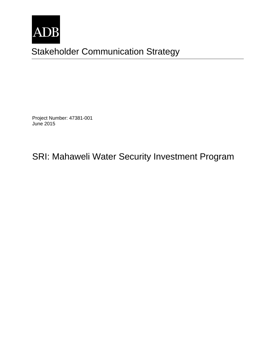

Stakeholder Communication Strategy `

Project Number: 47381-001 June 2015

SRI: Mahaweli Water Security Investment Program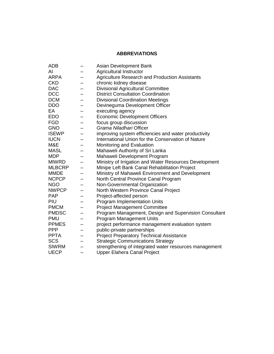# **ABBREVIATIONS**

| <b>ADB</b>    |   | Asian Development Bank                                 |
|---------------|---|--------------------------------------------------------|
| AI            |   | Agricultural Instructor                                |
| <b>ARPA</b>   |   | <b>Agriculture Research and Production Assistants</b>  |
| <b>CKD</b>    |   | chronic kidney disease                                 |
| <b>DAC</b>    |   | <b>Divisional Agricultural Committee</b>               |
| <b>DCC</b>    |   | <b>District Consultation Coordination</b>              |
| <b>DCM</b>    |   | <b>Divisional Coordination Meetings</b>                |
| <b>DDO</b>    |   | Devineguma Development Officer                         |
| EA            |   | executing agency                                       |
| <b>EDO</b>    |   | <b>Economic Development Officers</b>                   |
| <b>FGD</b>    |   | focus group discussion                                 |
| <b>GNO</b>    |   | Grama Niladhari Officer                                |
| <b>ISEWP</b>  |   | improving system efficiencies and water productivity   |
| <b>IUCN</b>   |   | International Union for the Conservation of Nature     |
| M&E           |   | Monitoring and Evaluation                              |
| <b>MASL</b>   |   | Mahaweli Authority of Sri Lanka                        |
| <b>MDP</b>    |   | Mahaweli Development Program                           |
| <b>MIWRD</b>  |   | Ministry of Irrigation and Water Resources Development |
| <b>MLBCRP</b> |   | Minipe Left Bank Canal Rehabilitation Project          |
| <b>MMDE</b>   |   | Ministry of Mahaweli Environment and Development       |
| <b>NCPCP</b>  |   | North Central Province Canal Program                   |
| <b>NGO</b>    |   | Non-Governmental Organization                          |
| <b>NWPCP</b>  |   | North Western Province Canal Project                   |
| <b>PAP</b>    |   | Project-affected person                                |
| PIU           |   | Program Implementation Units                           |
| <b>PMCM</b>   |   | <b>Project Management Committee</b>                    |
| <b>PMDSC</b>  |   | Program Management, Design and Supervision Consultant  |
| <b>PMU</b>    |   | <b>Program Management Units</b>                        |
| <b>PPMES</b>  | — | project performance management evaluation system       |
| <b>PPP</b>    | - | public-private partnerships                            |
| <b>PPTA</b>   |   | <b>Project Preparatory Technical Assistance</b>        |
| <b>SCS</b>    |   | <b>Strategic Communications Strategy</b>               |
| <b>SIWRM</b>  | — | strengthening of integrated water resources management |
| <b>UECP</b>   |   | Upper Elahera Canal Project                            |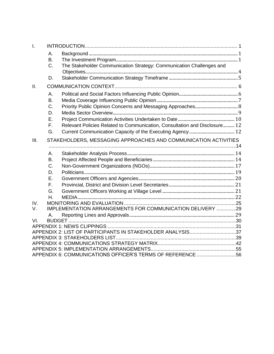| $\mathbf{L}$ |           |                                                                            |  |
|--------------|-----------|----------------------------------------------------------------------------|--|
|              | А.        |                                                                            |  |
|              | Β.        |                                                                            |  |
|              | C.        | The Stakeholder Communication Strategy: Communication Challenges and       |  |
|              |           |                                                                            |  |
|              | D.        |                                                                            |  |
| II.          |           |                                                                            |  |
|              | А.        |                                                                            |  |
|              | В.        |                                                                            |  |
|              | C.        |                                                                            |  |
|              | D.        |                                                                            |  |
|              | Ε.        |                                                                            |  |
|              | F.        | Relevant Policies Related to Communication, Consultation and Disclosure 12 |  |
|              | G.        |                                                                            |  |
| III.         |           | STAKEHOLDERS, MESSAGING APPROACHES AND COMMUNICATION ACTIVITIES            |  |
|              | А.        |                                                                            |  |
|              | <b>B.</b> |                                                                            |  |
|              | C.        |                                                                            |  |
|              | D.        |                                                                            |  |
|              | F.        |                                                                            |  |
|              | F.        |                                                                            |  |
|              | G.        |                                                                            |  |
|              | Η.        |                                                                            |  |
| IV.          |           |                                                                            |  |
| V.           |           | IMPLEMENTATION ARRANGEMENTS FOR COMMUNICATION DELIVERY 29                  |  |
|              | А.        |                                                                            |  |
| VI.          |           |                                                                            |  |
|              |           |                                                                            |  |
|              |           | APPENDIX 2: LIST OF PARTICIPANTS IN STAKEHOLDER ANALYSIS37                 |  |
|              |           |                                                                            |  |
|              |           |                                                                            |  |
|              |           |                                                                            |  |
|              |           | APPENDIX 6: COMMUNICATIONS OFFICER'S TERMS OF REFERENCE 56                 |  |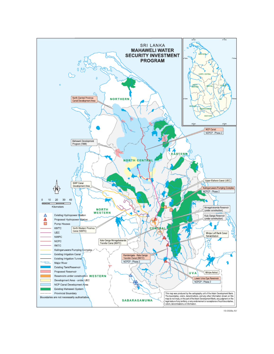

15-0598a AV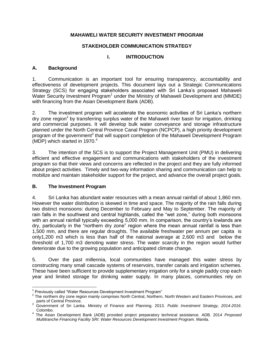# **MAHAWELI WATER SECURITY INVESTMENT PROGRAM**

### **STAKEHOLDER COMMUNICATION STRATEGY**

# **I. INTRODUCTION**

# <span id="page-4-1"></span><span id="page-4-0"></span>**A. Background**

1. Communication is an important tool for ensuring transparency, accountability and effectiveness of development projects. This document lays out a Strategic Communications Strategy (SCS) for engaging stakeholders associated with Sri Lanka's proposed Mahaweli Water Security Investment Program<sup>1</sup> under the Ministry of Mahaweli Development and (MMDE) with financing from the Asian Development Bank (ADB).

2. The investment program will accelerate the economic activities of Sri Lanka's northern dry zone region<sup>2</sup> by transferring surplus water of the Mahaweli river basin for irrigation, drinking and commercial purposes. It will develop bulk water conveyance and storage infrastructure planned under the North Central Province Canal Program (NCPCP), a high priority development program of the government<sup>3</sup> that will support completion of the Mahaweli Development Program (MDP) which started in 1970. $4$ 

3. The intention of the SCS is to support the Project Management Unit (PMU) in delivering efficient and effective engagement and communications with stakeholders of the investment program so that their views and concerns are reflected in the project and they are fully informed about project activities. Timely and two-way information sharing and communication can help to mobilize and maintain stakeholder support for the project, and advance the overall project goals.

### <span id="page-4-2"></span>**B. The Investment Program**

4. Sri Lanka has abundant water resources with a mean annual rainfall of about 1,860 mm. However the water distribution is skewed in time and space. The majority of the rain falls during two distinct monsoons: during December to February and May to September. The majority of rain falls in the southwest and central highlands, called the "wet zone," during both monsoons with an annual rainfall typically exceeding 5,000 mm. In comparison, the country's lowlands are dry, particularly in the "northern dry zone" region where the mean annual rainfall is less than 1,500 mm, and there are regular droughts. The available freshwater per annum per capita is only1,200 m3 which is less than half of the national average at 2,600 m3 and below the threshold of 1,700 m3 denoting water stress. The water scarcity in the region would further deteriorate due to the growing population and anticipated climate change.

5. Over the past millennia, local communities have managed this water stress by constructing many small cascade systems of reservoirs, transfer canals and irrigation schemes. These have been sufficient to provide supplementary irrigation only for a single paddy crop each year and limited storage for drinking water supply. In many places, communities rely on

 $\overline{\phantom{a}}$ <sup>1</sup> Previously called "Water Resources Development Investment Program"

 $2$  The northern dry zone region mainly comprises North Central, Northern, North Western and Eastern Provinces, and parts of Central Province.

<sup>3</sup> Government of Sri Lanka. Ministry of Finance and Planning. 2013. *Public Investment Strategy, 2014-2016*. Colombo.

<sup>4</sup> The Asian Development Bank (ADB) provided project preparatory technical assistance. ADB. 2014 *Proposed Multitranche Financing Facility SRI: Water Resources Development Investment Program*. Manila.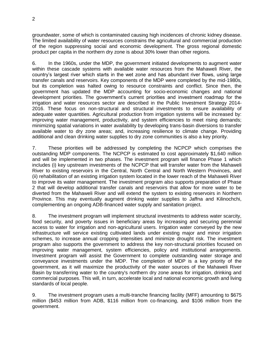groundwater, some of which is contaminated causing high incidences of chronic kidney disease. The limited availability of water resources constrains the agricultural and commercial production of the region suppressing social and economic development. The gross regional domestic product per capita in the northern dry zone is about 30% lower than other regions.

6. In the 1960s, under the MDP, the government initiated developments to augment water within these cascade systems with available water resources from the Mahaweli River, the country's largest river which starts in the wet zone and has abundant river flows, using large transfer canals and reservoirs. Key components of the MDP were completed by the mid-1980s, but its completion was halted owing to resource constraints and conflict. Since then, the government has updated the MDP accounting for socio-economic changes and national development priorities. The government's current priorities and investment roadmap for the irrigation and water resources sector are described in the Public Investment Strategy 2014- 2016. These focus on non-structural and structural investments to ensure availability of adequate water quantities. Agricultural production from irrigation systems will be increased by: improving water management, productivity, and system efficiencies to meet rising demands; minimizing spatial variations in water availability by developing trans-basin diversions to transfer available water to dry zone areas; and, increasing resilience to climate change. Providing additional and clean drinking water supplies to dry zone communities is also a key priority.

7. These priorities will be addressed by completing the NCPCP which comprises the outstanding MDP components. The NCPCP is estimated to cost approximately \$1,640 million and will be implemented in two phases. The investment program will finance Phase 1 which includes (i) key upstream investments of the NCPCP that will transfer water from the Mahaweli River to existing reservoirs in the Central, North Central and North Western Provinces, and (ii) rehabilitation of an existing irrigation system located in the lower reach of the Mahaweli River to improve its water management. The investment program also supports preparation of Phase 2 that will develop additional transfer canals and reservoirs that allow for more water to be diverted from the Mahaweli River and will extend the system to existing reservoirs in Northern Province. This may eventually augment drinking water supplies to Jaffna and Kilinochchi, complementing an ongoing ADB-financed water supply and sanitation project.

8. The investment program will implement structural investments to address water scarcity, food security, and poverty issues in beneficiary areas by increasing and securing perennial access to water for irrigation and non-agricultural users. Irrigation water conveyed by the new infrastructure will service existing cultivated lands under existing major and minor irrigation schemes, to increase annual cropping intensities and minimize drought risk. The investment program also supports the government to address the key non-structural priorities focused on improving water management, system efficiencies, policy and institutional arrangements. Investment program will assist the Government to complete outstanding water storage and conveyance investments under the MDP. The completion of MDP is a key priority of the government, as it will maximize the productivity of the water sources of the Mahaweli River Basin by transferring water to the country's northern dry zone areas for irrigation, drinking and commercial purposes. This will, in turn, accelerate local and national economic growth and living standards of local people.

9. The investment program uses a multi-tranche financing facility (MFF) amounting to \$675 million (\$453 million from ADB, \$116 million from co-financing, and \$106 million from the government.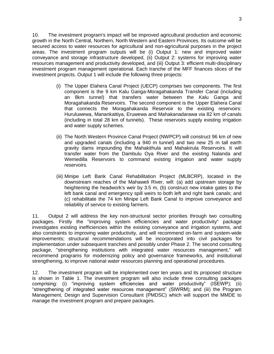10. The investment program's impact will be improved agricultural production and economic growth in the North Central, Northern, North Western and Eastern Provinces. Its outcome will be secured access to water resources for agricultural and non-agricultural purposes in the project areas. The investment program outputs will be (i) Output 1: new and improved water conveyance and storage infrastructure developed, (ii) Output 2: systems for improving water resources management and productivity developed, and (iii) Output 3: efficient multi-disciplinary investment program management operational. Each tranche of the MFF finances slices of the investment projects. Output 1 will include the following three projects:

- (i) The Upper Elahera Canal Project (UECP) comprises two components. The first component is the 9 km Kalu Ganga-Moragahakanda Transfer Canal (including an 8km tunnel) that transfers water between the Kalu Ganga and Moragahakanda Reservoirs. The second component is the Upper Elahera Canal that connects the Moragahakanda Reservoir to the existing reservoirs: Huruluwewa, Manankattiya, Eruwewa and Mahakanadarawa via 82 km of canals (including in total 28 km of tunnels). These reservoirs supply existing irrigation and water supply schemes.
- (ii) The North Western Province Canal Project (NWPCP) will construct 96 km of new and upgraded canals (including a 940 m tunnel) and two new 25 m tall earth gravity dams impounding the Mahakithula and Mahakirula Reservoirs. It will transfer water from the Dambulu Oya River and the existing Nalanda and Wemedilla Reservoirs to command existing irrigation and water supply reservoirs.
- (iii) Minipe Left Bank Canal Rehabilitation Project (MLBCRP), located in the downstream reaches of the Mahaweli River, will: (a) add upstream storage by heightening the headwork's weir by 3.5 m, (b) construct new intake gates to the left bank canal and emergency spill weirs to both left and right bank canals; and (c) rehabilitate the 74 km Minipe Left Bank Canal to improve conveyance and reliability of service to existing farmers.

11. Output 2 will address the key non-structural sector priorities through two consulting packages. Firstly the "improving system efficiencies and water productivity" package investigates existing inefficiencies within the existing conveyance and irrigation systems, and also constraints to improving water productivity, and will recommend on-farm and system-wide improvements; structural recommendations will be incorporated into civil packages for implementation under subsequent tranches and possibly under Phase 2. The second consulting package, "strengthening institutions with integrated water resources management," will recommend programs for modernizing policy and governance frameworks, and institutional strengthening, to improve national water resources planning and operational procedures.

12. The investment program will be implemented over ten years and its proposed structure is shown in Table 1. The investment program will also include three consulting packages comprising: (i) "improving system efficiencies and water productivity" (ISEWP); (ii) "strengthening of integrated water resources management" (SIWRM); and (iii) the Program Management, Design and Supervision Consultant (PMDSC) which will support the MMDE to manage the investment program and prepare packages.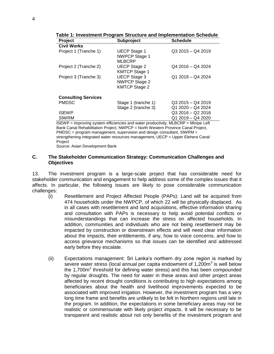| <b>Project</b>                                                                     | <b>Subproject</b>    | <b>Schedule</b>   |  |  |
|------------------------------------------------------------------------------------|----------------------|-------------------|--|--|
| <b>Civil Works</b>                                                                 |                      |                   |  |  |
| Project 1 (Tranche 1)                                                              | <b>UECP Stage 1</b>  | $Q32015 - Q42019$ |  |  |
|                                                                                    | <b>NWPCP Stage 1</b> |                   |  |  |
|                                                                                    | <b>MLBCRP</b>        |                   |  |  |
| Project 2 (Tranche 2)                                                              | <b>UECP Stage 2</b>  | $Q42016 - Q42024$ |  |  |
|                                                                                    | <b>KMTCP Stage 1</b> |                   |  |  |
| Project 3 (Tranche 3)                                                              | <b>UECP Stage 3</b>  | $Q12018 - Q42024$ |  |  |
|                                                                                    | <b>NWPCP Stage 2</b> |                   |  |  |
|                                                                                    | <b>KMTCP Stage 2</b> |                   |  |  |
| <b>Consulting Services</b>                                                         |                      |                   |  |  |
| <b>PMDSC</b>                                                                       | Stage 1 (tranche 1)  | $Q32015 - Q42019$ |  |  |
|                                                                                    | Stage 2 (tranche 3)  | Q1 2020 - Q4 2024 |  |  |
| <b>ISEWP</b>                                                                       |                      | $Q32016 - Q22018$ |  |  |
| <b>SIWRM</b>                                                                       |                      | Q1 2019 - Q4 2020 |  |  |
|                                                                                    |                      |                   |  |  |
| ISEWP = improving system efficiencies and water productivity, MLBCRP = Minipe Left |                      |                   |  |  |

**Table 1: Investment Program Structure and Implementation Schedule**

Bank Canal Rehabilitation Project, NWPCP = North Western Province Canal Project, PMDSC = program management, supervision and design consultant, SIWRM = strengthening integrated water resources management, UECP = Upper Elehera Canal Project Source: Asian Development Bank

### <span id="page-7-0"></span>**C. The Stakeholder Communication Strategy: Communication Challenges and Objectives**

13. The investment program is a large-scale project that has considerable need for stakeholder communication and engagement to help address some of the complex issues that it affects. In particular, the following issues are likely to pose considerable communication challenges:

- (i) Resettlement and Project Affected People (PAPs): Land will be acquired from 474 households under the NWPCP, of which 22 will be physically displaced. As in all cases with resettlement and land acquisitions, effective information sharing and consultation with PAPs is necessary to help avoid potential conflicts or misunderstandings that can increase the stress on affected households. In addition, communities and individuals who are not being resettlement may be impacted by construction or downstream effects and will need clear information about the impacts, their entitlements, if any, how to voice concerns, and how to access grievance mechanisms so that issues can be identified and addressed early before they escalate.
- (ii) Expectations management: Sri Lanka's northern dry zone region is marked by severe water stress (local annual per capita endowment of 1,200 $m<sup>3</sup>$  is well below the 1,700 $m<sup>3</sup>$  threshold for defining water stress) and this has been compounded by regular droughts. The need for water in these areas and other project areas affected by recent drought conditions is contributing to high expectations among beneficiaries about the health and livelihood improvements expected to be associated with improved irrigation. However, the investment program has a very long time frame and benefits are unlikely to be felt in Northern regions until late in the program. In addition, the expectations in some beneficiary areas may not be realistic or commensurate with likely project impacts. It will be necessary to be transparent and realistic about not only benefits of the investment program and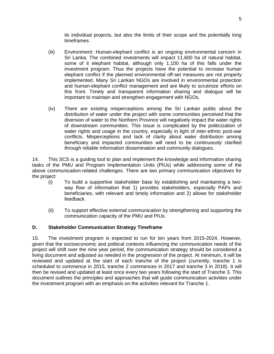its individual projects, but also the limits of their scope and the potentially long timeframes.

- (iii) Environment: Human-elephant conflict is an ongoing environmental concern in Sri Lanka. The combined investments will impact 11,600 ha of natural habitat, some of it elephant habitat, although only 1,100 ha of this falls under the investment program. Thus the projects have the potential to increase human elephant conflict if the planned environmental off-set measures are not properly implemented. Many Sri Lankan NGOs are involved in environmental protection and human-elephant conflict management and are likely to scrutinize efforts on this front. Timely and transparent information sharing and dialogue will be important to maintain and strengthen engagement with NGOs.
- (iv) There are existing misperceptions among the Sri Lankan public about the distribution of water under the project with some communities perceived that the diversion of water to the Northern Province will negatively impact the water rights of downstream communities. This issue is complicated by the politicization of water rights and usage in the country, especially in light of inter-ethnic post-war conflicts. Misperceptions and lack of clarity about water distribution among beneficiary and impacted communities will need to be continuously clarified through reliable information dissemination and community dialogues.

14. This SCS is a guiding tool to plan and implement the knowledge and information sharing tasks of the PMU and Program Implementation Units (PIUs) while addressing some of the above communication-related challenges. There are two primary communication objectives for the project:

- (i) To build a supportive stakeholder base by establishing and maintaining a twoway flow of information that 1) provides stakeholders, especially PAPs and beneficiaries, with relevant and timely information and 2) allows for stakeholder feedback.
- (ii) To support effective external communication by strengthening and supporting the communication capacity of the PMU and PIUs.

# <span id="page-8-0"></span>**D. Stakeholder Communication Strategy Timeframe**

15. The investment program is expected to run for ten years from 2015-2024. However, given that the socioeconomic and political contexts influencing the communication needs of the project will shift over the nine year period, the communication strategy should be considered a living document and adjusted as needed in the progression of the project. At minimum, it will be reviewed and updated at the start of each tranche of the project (currently, tranche 1 is scheduled to commence in 2015, tranche 2 commences in 2017 and tranche 3 in 2018). It will then be revised and updated at least once every two years following the start of Tranche 3. This document outlines the principles and approaches that will guide communication activities under the investment program with an emphasis on the activities relevant for Tranche 1.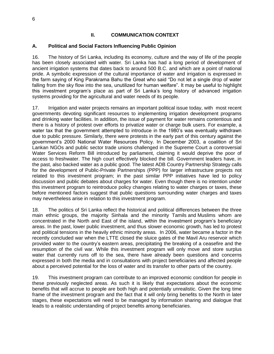# **II. COMMUNICATION CONTEXT**

### <span id="page-9-1"></span><span id="page-9-0"></span>**A. Political and Social Factors Influencing Public Opinion**

16. The history of Sri Lanka, including its economy, culture and the way of life of the people has been closely associated with water. Sri Lanka has had a long period of development of ancient irrigation systems that dates back to around 500 B.C. and which are a point of national pride. A symbolic expression of the cultural importance of water and irrigation is expressed in the farm saying of King Parakrama Bahu the Great who said "Do not let a single drop of water falling from the sky flow into the sea, unutilized for human welfare". It may be useful to highlight this investment program's place as part of Sri Lanka's long history of advanced irrigation systems providing for the agricultural and water needs of its people.

17. Irrigation and water projects remains an important political issue today, with most recent governments devoting significant resources to implementing irrigation development programs and drinking water facilities. In addition, the issue of payment for water remains contentious and there is a history of protest over efforts to privatize water or charge bulk users. For example, a water tax that the government attempted to introduce in the 1980's was eventually withdrawn due to public pressure. Similarly, there were protests in the early part of this century against the government's 2000 National Water Resources Policy. In December 2003, a coalition of Sri Lankan NGOs and public sector trade unions challenged in the Supreme Court a controversial Water Services Reform Bill introduced by parliament, claiming it would deprive the poor of access to freshwater. The high court effectively blocked the bill. Government leaders have, in the past, also backed water as a public good. The latest ADB Country Partnership Strategy calls for the development of Public-Private Partnerships (PPP) for larger infrastructure projects not related to this investment program; in the past similar PPP initiatives have led to policy discussion and public debates about charges for water. Even though there is no intention under this investment program to reintroduce policy changes relating to water charges or taxes, these before mentioned factors suggest that public questions surrounding water charges and taxes may nevertheless arise in relation to this investment program.

18. The politics of Sri Lanka reflect the historical and political differences between the three main ethnic groups, the majority [Sinhala](http://en.wikipedia.org/wiki/Sinhalese_people) and the minority [Tamils](http://en.wikipedia.org/wiki/Tamils) and [Muslims](http://en.wikipedia.org/wiki/Muslims) whom are concentrated in the North and East of the island, within the investment program's beneficiary areas. In the past, lower public investment, and thus slower economic growth, has led to protest and political tensions in the heavily ethnic minority areas. In 2006, water became a factor in the recently concluded war when the LTTE closed the sluice gates of the Mavil Aru reservoir which provided water to the country's eastern areas, precipitating the breaking of a ceasefire and the resumption of the civil war. While this investment program will only move and store surplus water that currently runs off to the sea, there have already been questions and concerns expressed in both the media and in consultations with project beneficiaries and affected people about a perceived potential for the loss of water and its transfer to other parts of the country.

19. This investment program can contribute to an improved economic condition for people in these previously neglected areas. As such it is likely that expectations about the economic benefits that will accrue to people are both high and potentially unrealistic. Given the long time frame of the investment program and the fact that it will only bring benefits to the North in later stages, these expectations will need to be managed by information sharing and dialogue that leads to a realistic understanding of project benefits among beneficiaries.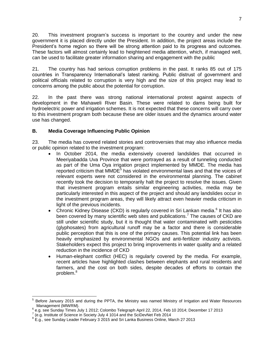20. This investment program's success is important to the country and under the new government it is placed directly under the President. In addition, the project areas include the President's home region so there will be strong attention paid to its progress and outcomes. These factors will almost certainly lead to heightened media attention, which, if managed well, can be used to facilitate greater information sharing and engagement with the public

21. The country has had serious corruption problems in the past. It ranks 85 out of 175 countries in Transparency International's latest ranking. Public distrust of government and political officials related to corruption is very high and the size of this project may lead to concerns among the public about the potential for corruption.

22. In the past there was strong national international protest against aspects of development in the Mahaweli River Basin. These were related to dams being built for hydroelectric power and irrigation schemes. It is not expected that these concerns will carry over to this investment program both because these are older issues and the dynamics around water use has changed.

# <span id="page-10-0"></span>**B. Media Coverage Influencing Public Opinion**

23. The media has covered related stories and controversies that may also influence media or public opinion related to the investment program:

- In October 2014, the media extensively covered landslides that occurred in Meeriyabadda Uva Province that were portrayed as a result of tunneling conducted as part of the Uma Oya irrigation project implemented by MMDE. The media has reported criticism that MMDE<sup>5</sup> has violated environmental laws and that the voices of relevant experts were not considered in the environmental planning. The cabinet recently took the decision to temporarily halt the project to resolve the issues. Given that investment program entails similar engineering activities, media may be particularly interested in this aspect of the project and should any landslides occur in the investment program areas, they will likely attract even heavier media criticism in light of the previous incidents.
- Chronic Kidney Disease (CKD) is regularly covered in Sri Lankan media.<sup>6</sup> It has also been covered by many scientific web sites and publications.<sup>7</sup> The causes of CKD are still under scientific study, but it is thought that water contaminated with pesticides (glyphosates) from agricultural runoff may be a factor and there is considerable public perception that this is one of the primary causes. This potential link has been heavily emphasized by environmental NGOs and anti-fertilizer industry activists. Stakeholders expect this project to bring improvements in water quality and a related reduction in the incidence of CKD
- Human-elephant conflict (HEC) is regularly covered by the media. For example, recent articles have highlighted clashes between elephants and rural residents and farmers, and the cost on both sides, despite decades of efforts to contain the problem.<sup>8</sup>

 $\overline{a}$ 5 Before January 2015 and during the PPTA, the Ministry was named Ministry of Irrigation and Water Resources Management (MIWRM).

 $^6$  e.g. see Sunday Times July 1 2012; Colombo Telegraph April 22, 2014, Feb 10 2014; December 17 2013

 $7$  (e.g. Institute of Science in Society July 4 1014 and the SciDevNet Feb 2014

 $^8$  E.g., see Sunday Leader February 3 2015 and Sri Lanka Business Online, March 27 2013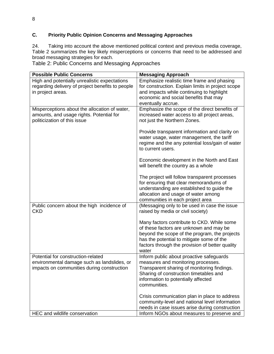# <span id="page-11-0"></span>**C. Priority Public Opinion Concerns and Messaging Approaches**

24. Taking into account the above mentioned political context and previous media coverage, Table 2 summarizes the key likely misperceptions or concerns that need to be addressed and broad messaging strategies for each.

Table 2: Public Concerns and Messaging Approaches

| <b>Possible Public Concerns</b>                  | <b>Messaging Approach</b>                                                                   |
|--------------------------------------------------|---------------------------------------------------------------------------------------------|
| High and potentially unrealistic expectations    | Emphasize realistic time frame and phasing                                                  |
| regarding delivery of project benefits to people | for construction. Explain limits in project scope                                           |
| in project areas.                                | and impacts while continuing to highlight                                                   |
|                                                  | economic and social benefits that may                                                       |
|                                                  | eventually accrue.                                                                          |
| Misperceptions about the allocation of water,    | Emphasize the scope of the direct benefits of                                               |
| amounts, and usage rights. Potential for         | increased water access to all project areas,                                                |
| politicization of this issue                     | not just the Northern Zones.                                                                |
|                                                  |                                                                                             |
|                                                  | Provide transparent information and clarity on<br>water usage, water management, the tariff |
|                                                  | regime and the any potential loss/gain of water                                             |
|                                                  | to current users.                                                                           |
|                                                  |                                                                                             |
|                                                  | Economic development in the North and East                                                  |
|                                                  | will benefit the country as a whole                                                         |
|                                                  |                                                                                             |
|                                                  | The project will follow transparent processes                                               |
|                                                  | for ensuring that clear memorandums of                                                      |
|                                                  | understanding are established to guide the                                                  |
|                                                  | allocation and usage of water among                                                         |
|                                                  | communities in each project area                                                            |
| Public concern about the high incidence of       | (Messaging only to be used in case the issue                                                |
| <b>CKD</b>                                       | raised by media or civil society)                                                           |
|                                                  | Many factors contribute to CKD. While some                                                  |
|                                                  | of these factors are unknown and may be                                                     |
|                                                  | beyond the scope of the program, the projects                                               |
|                                                  | has the potential to mitigate some of the                                                   |
|                                                  | factors through the provision of better quality                                             |
|                                                  | water                                                                                       |
| Potential for construction-related               | Inform public about proactive safeguards                                                    |
| environmental damage such as landslides, or      | measures and monitoring processes.                                                          |
| impacts on communities during construction       | Transparent sharing of monitoring findings.                                                 |
|                                                  | Sharing of construction timetables and                                                      |
|                                                  | information to potentially affected                                                         |
|                                                  | communities.                                                                                |
|                                                  |                                                                                             |
|                                                  | Crisis communication plan in place to address                                               |
|                                                  | community-level and national level information                                              |
|                                                  | needs in case issues arise during construction                                              |
| HEC and wildlife conservation                    | Inform NGOs about measures to preserve and                                                  |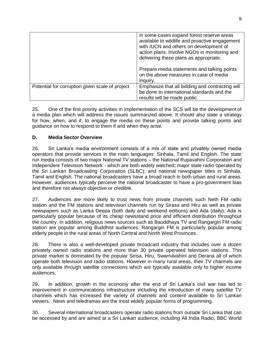|                                                 | in some cases expand forest reserve areas<br>available to wildlife and proactive engagement<br>with IUCN and others on development of<br>action plans. Involve NGOs in monitoring and<br>delivering these plans as appropriate. |
|-------------------------------------------------|---------------------------------------------------------------------------------------------------------------------------------------------------------------------------------------------------------------------------------|
|                                                 | Prepare media statements and talking points<br>on the above measures in case of media<br>inguiry.                                                                                                                               |
| Potential for corruption given scale of project | Emphasize that all bidding and contracting will<br>be done to international standards and the<br>results will be made public.                                                                                                   |

25. One of the first priority activities in implementation of the SCS will be the development of a media plan which will address the issues summarized above. It should also state a strategy for how, when, and if, to engage the media on these points and provide talking points and guidance on how to respond to them if and when they arise.

### <span id="page-12-0"></span>**D. Media Sector Overview**

26. Sri Lanka's media environment consists of a mix of state and privately owned media operators that provide services in the main languages: Sinhala, Tamil and English. The state run media consists of two major National TV stations – the National Rupavahini Corporation and Independent Television Network - which are both widely watched; major state radio operated by the Sri Lankan Broadcasting Corporation (SLBC); and national newspaper titles in Sinhala, Tamil and English. The national broadcasters have a broad reach in both urban and rural areas. However, audiences typically perceive the national broadcaster to have a pro-government bias and therefore not always objective or credible.

27. Audiences are more likely to trust news from private channels such Neth FM radio station and the FM stations and television channels run by Sirasa and Hiru as well as private newspapers such as Lanka Deepa (both daily and weekend editions) and Ada (daily). Ada is particularly popular because of its cheap newsstand price and efficient distribution throughout the country. In addition, religious news sources such as Bauddhaya TV and Rangargiri FM radio station are popular among Buddhist audiences. Rangargiri FM is particularly popular among elderly people in the rural areas of North Central and North West Provinces.

28. There is also a well-developed private broadcast industry that includes over a dozen privately owned radio stations and more than 30 private operated television stations. This private market is dominated by the popular Sirisa, Hiru, Swarnavahini and Derana all of which operate both television and radio stations. However in many rural areas, their TV channels are only available through satellite connections which are typically available only to higher income audiences.

29. In addition, growth in the economy after the end of Sri Lanka's civil war has led to improvement in communications infrastructure including the introduction of many satellite TV channels which has increased the variety of channels and content available to Sri Lankan viewers. News and teledramas are the most widely popular forms of programming.

30. Several international broadcasters operate radio stations from outside Sri Lanka that can be accessed by and are aimed at a Sri Lankan audience, including All India Radio, BBC World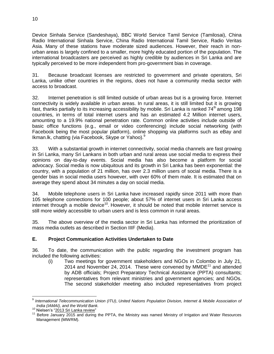Device Sinhala Service (Sandeshaya), BBC World Service Tamil Service (Tamilosai), China Radio International Sinhala Service, China Radio International Tamil Service, Radio Veritas Asia. Many of these stations have moderate sized audiences. However, their reach in nonurban areas is largely confined to a smaller, more highly educated portion of the population. The international broadcasters are perceived as highly credible by audiences in Sri Lanka and are typically perceived to be more independent from pro-government bias in coverage.

31. Because broadcast licenses are restricted to government and private operators, Sri Lanka, unlike other countries in the regions, does not have a community media sector with access to broadcast.

32. Internet penetration is still limited outside of urban areas but is a growing force. Internet connectivity is widely available in urban areas. In rural areas, it is still limited but it is growing fast, thanks partially to its increasing accessibility by mobile. Sri Lanka is ranked  $74<sup>th</sup>$  among 198 countries, in terms of total internet users and has an estimated 4.2 Million internet users, amounting to a 19.9% national penetration rate. Common online activities include outside of basic office functions (e.g., email or video conferencing) include social networking (with Facebook being the most popular platform), online shopping via platforms such as eBay and Ikman.lk, chatting (via Facebook, Skype or Yahoo).<sup>9</sup>

33. With a substantial growth in internet connectivity, social media channels are fast growing in Sri Lanka, many Sri Lankans in both urban and rural areas use social media to express their opinions on day-to-day events. Social media has also become a platform for social advocacy. Social media is now ubiquitous and its growth in Sri Lanka has been exponential: the country, with a population of 21 million, has over 2.3 million users of social media. There is a gender bias in social media users however, with over 60% of them male. It is estimated that on average they spend about 34 minutes a day on social media.

34. [Mobile](http://www.lanka.info/Sri_Lanka/mobile_reloads/index.jsp) telephone users in Sri Lanka have increased rapidly since 2011 with more than 105 telephone connections for 100 people; about 57% of internet users in Sri Lanka access internet through a mobile device<sup>10</sup>. However, it should be noted that mobile internet service is still more widely accessible to urban users and is less common in rural areas.

35. The above overview of the media sector in Sri Lanka has informed the prioritization of mass media outlets as described in Section IIIF (Media).

# <span id="page-13-0"></span>**E. Project Communication Activities Undertaken to Date**

36. To date, the communication with the public regarding the investment program has included the following activities:

(i) Two meetings for government stakeholders and NGOs in Colombo in July 21, 2014 and November 24, 2014. These were convened by  $MMDE<sup>11</sup>$  and attended by ADB officials; Project Preparatory Technical Assistance (PPTA) consultants; representatives from relevant ministries and government agencies; and NGOs. The second stakeholder meeting also included representatives from project

 $\overline{\phantom{a}}$ 9 *International Telecommunication Union (ITU)*, *United Nations Population Division, Internet & Mobile Association of India (IAMAI), and the World Bank.* 

<sup>&</sup>lt;sup>10</sup> Nielsen's ["2013 Sri Lanka review"](http://www.nielsen.com/content/dam/nielsenglobal/sk/docs/2014/sri-lanka-year-in-review.pdf)

<sup>&</sup>lt;sup>11</sup> Before January 2015 and during the PPTA, the Ministry was named Ministry of Irrigation and Water Resources Management (MIWRM).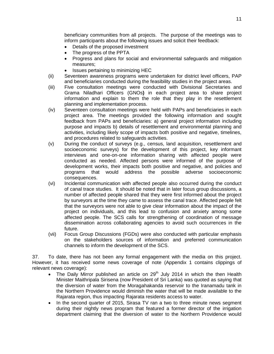beneficiary communities from all projects. The purpose of the meetings was to inform participants about the following issues and solicit their feedback:

- Details of the proposed investment
- The progress of the PPTA
- Progress and plans for social and environmental safeguards and mitigation measures;
- Issues pertaining to minimizing HEC
- (ii) Seventeen awareness programs were undertaken for district level officers, PAP and beneficiaries conducted during the feasibility studies in the project areas.
- (iii) Five consultation meetings were conducted with Divisional Secretaries and Grama Niladhari Officers (GNOs**)** in each project area to share project information and explain to them the role that they play in the resettlement planning and implementation process.
- (iv) Seventeen consultation meetings were held with PAPs and beneficiaries in each project area. The meetings provided the following information and sought feedback from PAPs and beneficiaries: a) general project information including purpose and impacts b) details of resettlement and environmental planning and activities, including likely scope of impacts both positive and negative, timelines, and procedures related to safeguards activities.
- (v) During the conduct of surveys (e.g., census, land acquisition, resettlement and socioeconomic surveys) for the development of this project, key informant interviews and one-on-one information sharing with affected people were conducted as needed. Affected persons were informed of the purpose of development works, their impacts both positive and negative, and policies and programs that would address the possible adverse socioeconomic consequences.
- (vi) Incidental communication with affected people also occurred during the conduct of canal trace studies. It should be noted that in later focus group discussions, a number of affected people shared that they were first informed about the project by surveyors at the time they came to assess the canal trace. Affected people felt that the surveyors were not able to give clear information about the impact of the project on individuals, and this lead to confusion and anxiety among some affected people. The SCS calls for strengthening of coordination of message dissemination across collaborating agencies to avoid such occurrences in the future.
- (vii) Focus Group Discussions (FGDs) were also conducted with particular emphasis on the stakeholders sources of information and preferred communication channels to inform the development of the SCS.

37. To date, there has not been any formal engagement with the media on this project. However, it has received some news coverage of note (Appendix 1 contains clippings of relevant news coverage):

- The Daily Mirror published an article on  $29<sup>th</sup>$  July 2014 in which the then Health Minister Maithripala Sirisena (now President of Sri Lanka) was quoted as saying that the diversion of water from the Moragahakanda reservoir to the Iranamadu tank in the Northern Providence would diminish the water that will be made available to the Rajarata region, thus impacting Rajarata residents access to water.
- In the second quarter of 2015, Sirasa TV ran a two to three minute news segment during their nightly news program that featured a former director of the irrigation department claiming that the diversion of water to the Northern Providence would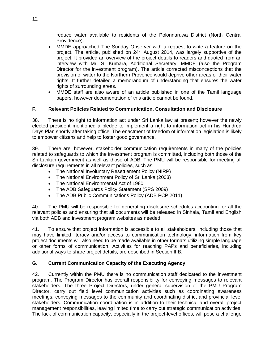reduce water available to residents of the Polonnaruwa District (North Central Providence).

- MMDE approached The Sunday Observer with a request to write a feature on the project. The article, published on  $24<sup>th</sup>$  August 2014, was largely supportive of the project. It provided an overview of the project details to readers and quoted from an interview with Mr. S. Kumara, Additional Secretary, MMDE (also the Program Director for the investment program). The article corrected misconceptions that the provision of water to the Northern Provence would deprive other areas of their water rights. It further detailed a memorandum of understanding that ensures the water rights of surrounding areas.
- MMDE staff are also aware of an article published in one of the Tamil language papers, however documentation of this article cannot be found.

# <span id="page-15-0"></span>**F. Relevant Policies Related to Communication, Consultation and Disclosure**

38. There is no right to information act under Sri Lanka law at present; however the newly elected president mentioned a pledge to implement a right to information act in his Hundred Days Plan shortly after taking office. The enactment of freedom of information legislation is likely to empower citizens and help to foster good governance.

39. There are, however, stakeholder communication requirements in many of the policies related to safeguards to which the investment program is committed, including both those of the Sri Lankan government as well as those of ADB. The PMU will be responsible for meeting all disclosure requirements in all relevant policies, such as:

- The National Involuntary Resettlement Policy (NIRP)
- The National Environment Policy of Sri Lanka (2003)
- The National Environmental Act of 1980
- The ADB Safeguards Policy Statement (SPS 2009)
- The ADB Public Communications Policy (ADB PCP 2011)

40. The PMU will be responsible for generating disclosure schedules accounting for all the relevant policies and ensuring that all documents will be released in Sinhala, Tamil and English via both ADB and investment program websites as needed.

41. To ensure that project information is accessible to all stakeholders, including those that may have limited literacy and/or access to communication technology, information from key project documents will also need to be made available in other formats utilizing simple language or other forms of communication. Activities for reaching PAPs and beneficiaries, including additional ways to share project details, are described in Section IIIB.

# <span id="page-15-1"></span>**G. Current Communication Capacity of the Executing Agency**

42. Currently within the PMU there is no communication staff dedicated to the investment program. The Program Director has overall responsibility for conveying messages to relevant stakeholders. The three Project Directors, under general supervision of the PMU Program Director, carry out field level communication activities such as coordinating awareness meetings, conveying messages to the community and coordinating district and provincial level stakeholders. Communication coordination is in addition to their technical and overall project management responsibilities, leaving limited time to carry out strategic communication activities. The lack of communication capacity, especially in the project-level offices, will pose a challenge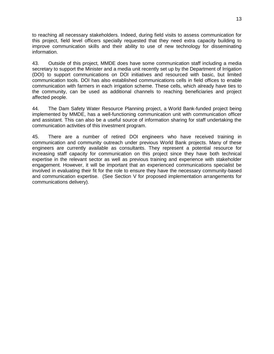to reaching all necessary stakeholders. Indeed, during field visits to assess communication for this project, field level officers specially requested that they need extra capacity building to improve communication skills and their ability to use of new technology for disseminating information.

43. Outside of this project, MMDE does have some communication staff including a media secretary to support the Minister and a media unit recently set up by the Department of Irrigation (DOI) to support communications on DOI initiatives and resourced with basic, but limited communication tools. DOI has also established communications cells in field offices to enable communication with farmers in each irrigation scheme. These cells, which already have ties to the community, can be used as additional channels to reaching beneficiaries and project affected people.

44. The Dam Safety Water Resource Planning project, a World Bank-funded project being implemented by MMDE, has a well-functioning communication unit with communication officer and assistant. This can also be a useful source of information sharing for staff undertaking the communication activities of this investment program.

45. There are a number of retired DOI engineers who have received training in communication and community outreach under previous World Bank projects. Many of these engineers are currently available as consultants. They represent a potential resource for increasing staff capacity for communication on this project since they have both technical expertise in the relevant sector as well as previous training and experience with stakeholder engagement. However, it will be important that an experienced communications specialist be involved in evaluating their fit for the role to ensure they have the necessary community-based and communication expertise. (See Section V for proposed implementation arrangements for communications delivery).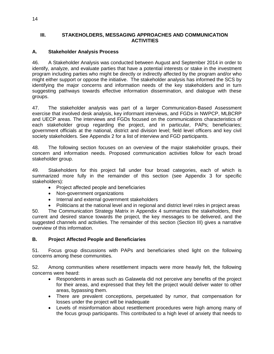# <span id="page-17-0"></span>**III. STAKEHOLDERS, MESSAGING APPROACHES AND COMMUNICATION ACTIVITIES**

# <span id="page-17-1"></span>**A. Stakeholder Analysis Process**

46. A Stakeholder Analysis was conducted between August and September 2014 in order to identify, analyze, and evaluate parties that have a potential interests or stake in the investment program including parties who might be directly or indirectly affected by the program and/or who might either support or oppose the initiative. The stakeholder analysis has informed the SCS by identifying the major concerns and information needs of the key stakeholders and in turn suggesting pathways towards effective information dissemination, and dialogue with these groups.

47. The stakeholder analysis was part of a larger Communication-Based Assessment exercise that involved desk analysis, key informant interviews, and FGDs in NWPCP, MLBCRP and UECP areas. The interviews and FGDs focused on the communications characteristics of each stakeholder group regarding the project, and in particular, PAPs; beneficiaries; government officials at the national, district and division level; field level officers and key civil society stakeholders. See Appendix 2 for a list of interview and FGD participants.

48. The following section focuses on an overview of the major stakeholder groups, their concern and information needs. Proposed communication activities follow for each broad stakeholder group.

49. Stakeholders for this project fall under four broad categories, each of which is summarized more fully in the remainder of this section (see Appendix 3 for specific stakeholders):

- Project affected people and beneficiaries
- Non-government organizations
- Internal and external government stakeholders
- Politicians at the national level and in regional and district level roles in project areas

50. The Communication Strategy Matrix in Appendix 4 summarizes the stakeholders, their current and desired stance towards the project, the key messages to be delivered, and the suggested channels and activities. The remainder of this section (Section III) gives a narrative overview of this information.

# <span id="page-17-2"></span>**B. Project Affected People and Beneficiaries**

51. Focus group discussions with PAPs and beneficiaries shed light on the following concerns among these communities.

52. Among communities where resettlement impacts were more heavily felt, the following concerns were heard:

- Respondents in areas such as Galawela did not perceive any benefits of the project for their areas, and expressed that they felt the project would deliver water to other areas, bypassing them.
- There are prevalent conceptions, perpetuated by rumor, that compensation for losses under the project will be inadequate
- Levels of misinformation about resettlement procedures were high among many of the focus group participants. This contributed to a high level of anxiety that needs to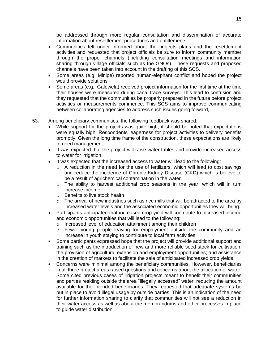be addressed through more regular consultation and dissemination of accurate information about resettlement procedures and entitlements.

- Communities felt under informed about the projects plans and the resettlement activities and requested that project officials be sure to inform community member through the proper channels (including consultation meetings and information sharing through village officials such as the GNOs). These requests and proposed channels have been taken into account in the drafting of this SCS.
- Some areas (e.g. Minipe) reported human-elephant conflict and hoped the project would provide solutions
- Some areas (e.g., Galewela) received project information for the first time at the time their houses were measured during canal trace surveys. This lead to confusion and they requested that the communities be properly prepared in the future before project activities or measurements commence. This SCS aims to improve communicating between collaborating agencies to address such issues going forward,
- 53. Among beneficiary communities, the following feedback was shared:
	- While support for the projects was quite high, it should be noted that expectations were equally high. Respondents' eagerness for project activities to delivery benefits promptly. Given the long time frame of the construction, these expectations are likely to need management.
	- It was expected that the project will raise water tables and provide increased access to water for irrigation.
	- It was expected that the increased access to water will lead to the following:
		- o A reduction in the need for the use of fertilizers, which will lead to cost savings and reduce the incidence of Chronic Kidney Disease (CKD) which is believe to be a result of agrichemical contamination in the water.
		- $\circ$  The ability to harvest additional crop seasons in the year, which will in turn increase income.
		- o Benefits to live stock health
		- $\circ$  The arrival of new industries such as rice mills that will be attracted to the area by increased water levels and the associated economic opportunities they will bring.
	- Participants anticipated that increased crop yield will contribute to increased income and economic opportunities that will lead to the following:
		- o Increased level of education attainment among their children
		- $\circ$  Fewer young people leaving for employment outside the community and an increase in youth staying to contribute to local farm activities.
	- Some participants expressed hope that the project will provide additional support and training such as the introduction of new and more reliable seed stock for cultivation; the provision of agricultural extension and employment opportunities; and assistance in the creation of markets to facilitate the sale of anticipated increased crop yields.
	- Concerns were minimal among the beneficiary communities. However, beneficiaries in all three project areas raised questions and concerns about the allocation of water. Some cited previous cases of irrigation projects meant to benefit their communities and parties residing outside the area "illegally accessed" water, reducing the amount available for the intended beneficiaries. They requested that adequate systems be put in place to avoid illegal usage by outside parties. This is an indication of the need for further information sharing to clarify that communities will not see a reduction in their water access as well as about the memorandums and other processes in place to guide water distribution.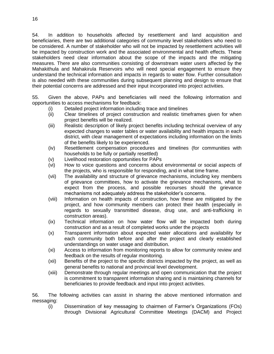54. In addition to households affected by resettlement and land acquisition and beneficiaries, there are two additional categories of community level stakeholders who need to be considered. A number of stakeholder who will not be impacted by resettlement activities will be impacted by construction work and the associated environmental and health effects. These stakeholders need clear information about the scope of the impacts and the mitigating measures. There are also communities consisting of downstream water users affected by the Mahakithula and Mahakirula Reservoirs who will need special engagement to ensure they understand the technical information and impacts in regards to water flow. Further consultation is also needed with these communities during subsequent planning and design to ensure that their potential concerns are addressed and their input incorporated into project activities.

55. Given the above, PAPs and beneficiaries will need the following information and opportunities to access mechanisms for feedback:

- (i) Detailed project information including trace and timelines
- (ii) Clear timelines of project construction and realistic timeframes given for when project benefits will be realized.
- (iii) Realistic description of likely project benefits including technical overview of any expected changes to water tables or water availability and health impacts in each district, with clear management of expectations including information on the limits of the benefits likely to be experienced.
- (iv) Resettlement compensation procedures and timelines (for communities with households to be fully or partially resettled)
- (v) Livelihood restoration opportunities for PAPs
- (vi) How to voice questions and concerns about environmental or social aspects of the projects, who is responsible for responding, and in what time frame.
- (vii) The availability and structure of grievance mechanisms, including key members of grievance committees, how to activate the grievance mechanisms, what to expect from the process, and possible recourses should the grievance mechanisms not adequately address the stakeholder's concerns.
- (viii) Information on health impacts of construction, how these are mitigated by the project, and how community members can protect their health (especially in regards to sexually transmitted disease, drug use, and anti-trafficking in construction areas).
- (ix) Technical information on how water flow will be impacted both during construction and as a result of completed works under the projects
- (x) Transparent information about expected water allocations and availability for each community both before and after the project and clearly established understandings on water usage and distribution.
- (xi) Access to information from monitoring reports to allow for community review and feedback on the results of regular monitoring.
- (xii) Benefits of the project to the specific districts impacted by the project, as well as general benefits to national and provincial level development.
- (xiii) Demonstrate through regular meetings and open communication that the project is commitment to transparent information sharing and is maintaining channels for beneficiaries to provide feedback and input into project activities.

56. The following activities can assist in sharing the above mentioned information and messaging:

(i) Dissemination of key messaging to chairmen of Farmer's Organizations (FOs) through Divisional Agricultural Committee Meetings (DACM) and Project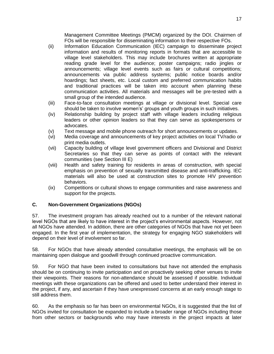Management Committee Meetings (PMCM) organized by the DOI. Chairmen of FOs will be responsible for disseminating information to their respective FOs.

- (ii) Information Education Communication (IEC) campaign to disseminate project information and results of monitoring reports in formats that are accessible to village level stakeholders. This may include brochures written at appropriate reading grade level for the audience; poster campaigns; radio jingles or announcements; village level events such as fairs or cultural competitions; announcements via public address systems; public notice boards and/or hoardings; fact sheets, etc. Local custom and preferred communication habits and traditional practices will be taken into account when planning these communication activities. All materials and messages will be pre-tested with a small group of the intended audience.
- (iii) Face-to-face consultation meetings at village or divisional level. Special care should be taken to involve women's' groups and youth groups in such initiatives.
- (iv) Relationship building by project staff with village leaders including religious leaders or other opinion leaders so that they can serve as spokespersons or advocates.
- (v) Text message and mobile phone outreach for short announcements or updates.
- (vi) Media coverage and announcements of key project activities on local TV/radio or print media outlets.
- (vii) Capacity building of village level government officers and Divisional and District Secretaries so that they can serve as points of contact with the relevant communities (see Section III E)
- (viii) Health and safety training for residents in areas of construction, with special emphasis on prevention of sexually transmitted disease and anti-trafficking. IEC materials will also be used at construction sites to promote HIV prevention behaviors.
- (ix) Competitions or cultural shows to engage communities and raise awareness and support for the projects.

# <span id="page-20-0"></span>**C. Non-Government Organizations (NGOs)**

57. The investment program has already reached out to a number of the relevant national level NGOs that are likely to have interest in the project's environmental aspects. However, not all NGOs have attended. In addition, there are other categories of NGOs that have not yet been engaged. In the first year of implementation, the strategy for engaging NGO stakeholders will depend on their level of involvement so far.

58. For NGOs that have already attended consultative meetings, the emphasis will be on maintaining open dialogue and goodwill through continued proactive communication.

59. For NGO that have been invited to consultations but have not attended the emphasis should be on continuing to invite participation and on proactively seeking other venues to invite their viewpoints. Their reasons for non-attendance should be assessed if possible. Individual meetings with these organizations can be offered and used to better understand their interest in the project, if any, and ascertain if they have unexpressed concerns at an early enough stage to still address them.

60. As the emphasis so far has been on environmental NGOs, it is suggested that the list of NGOs invited for consultation be expanded to include a broader range of NGOs including those from other sectors or backgrounds who may have interests in the project impacts at later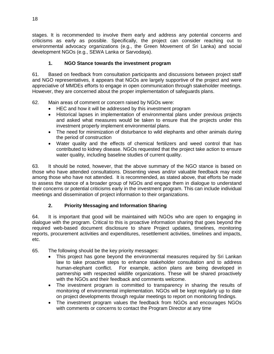stages. It is recommended to involve them early and address any potential concerns and criticisms as early as possible. Specifically, the project can consider reaching out to environmental advocacy organizations (e.g., the Green Movement of Sri Lanka) and social development NGOs (e.g., SEWA Lanka or Sarvodaya).

# **1. NGO Stance towards the investment program**

61. Based on feedback from consultation participants and discussions between project staff and NGO representatives, it appears that NGOs are largely supportive of the project and were appreciative of MMDEs efforts to engage in open communication through stakeholder meetings. However, they are concerned about the proper implementation of safeguards plans.

62. Main areas of comment or concern raised by NGOs were:

- HEC and how it will be addressed by this investment program
- Historical lapses in implementation of environmental plans under previous projects and asked what measures would be taken to ensure that the projects under this investment properly implement environmental plans.
- The need for minimization of disturbance to wild elephants and other animals during the period of construction
- Water quality and the effects of chemical fertilizers and weed control that has contributed to kidney disease. NGOs requested that the project take action to ensure water quality, including baseline studies of current quality.

63. It should be noted, however, that the above summary of the NGO stance is based on those who have attended consultations. Dissenting views and/or valuable feedback may exist among those who have not attended. It is recommended, as stated above, that efforts be made to assess the stance of a broader group of NGOs and engage them in dialogue to understand their concerns or potential criticisms early in the investment program. This can include individual meetings and dissemination of project information to their organizations.

# **2. Priority Messaging and Information Sharing**

64. It is important that good will be maintained with NGOs who are open to engaging in dialogue with the program. Critical to this is proactive information sharing that goes beyond the required web-based document disclosure to share Project updates, timelines, monitoring reports, procurement activities and expenditures, resettlement activities, timelines and impacts, etc.

- 65. The following should be the key priority messages:
	- This project has gone beyond the environmental measures required by Sri Lankan law to take proactive steps to enhance stakeholder consultation and to address human-elephant conflict. For example, action plans are being developed in partnership with respected wildlife organizations. These will be shared proactively with the NGOs and their feedback and comments welcome.
	- The investment program is committed to transparency in sharing the results of monitoring of environmental implementation. NGOs will be kept regularly up to date on project developments through regular meetings to report on monitoring findings.
	- The investment program values the feedback from NGOs and encourages NGOs with comments or concerns to contact the Program Director at any time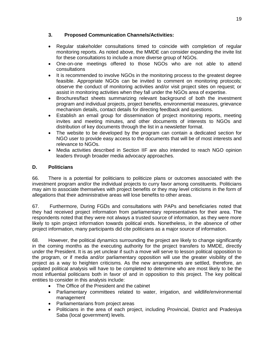# **3. Proposed Communication Channels/Activities:**

- Regular stakeholder consultations timed to coincide with completion of regular monitoring reports. As noted above, the MMDE can consider expanding the invite list for these consultations to include a more diverse group of NGOs.
- One-on-one meetings offered to those NGOs who are not able to attend consultations
- It is recommended to involve NGOs in the monitoring process to the greatest degree feasible. Appropriate NGOs can be invited to comment on monitoring protocols; observe the conduct of monitoring activities and/or visit project sites on request; or assist in monitoring activities when they fall under the NGOs area of expertise.
- Brochures/fact sheets summarizing relevant background of both the investment program and individual projects, project benefits, environmental measures, grievance mechanism details, contact details for directing feedback and questions.
- Establish an email group for dissemination of project monitoring reports, meeting invites and meeting minutes, and other documents of interests to NGOs and distribution of key documents through the list in a newsletter format.
- The website to be developed by the program can contain a dedicated section for NGO user to provide easy access to the documents that will be of most interests and relevance to NGOs.
- Media activities described in Section IIF are also intended to reach NGO opinion leaders through broader media advocacy approaches.

# <span id="page-22-0"></span>**D. Politicians**

66. There is a potential for politicians to politicize plans or outcomes associated with the investment program and/or the individual projects to curry favor among constituents. Politicians may aim to associate themselves with project benefits or they may level criticisms in the form of allegations that their administrative areas will lose benefits to other areas.

67. Furthermore, During FGDs and consultations with PAPs and beneficiaries noted that they had received project information from parliamentary representatives for their area. The respondents noted that they were not always a trusted source of information, as they were more likely to spin project information towards political ends. Nonetheless, in the absence of other project information, many participants did cite politicians as a major source of information.

68. However, the political dynamics surrounding the project are likely to change significantly in the coming months as the executing authority for the project transfers to MMDE, directly under the President. It is as yet unclear if such a move will serve to lesson political opposition to the program, or if media and/or parliamentary opposition will use the greater visibility of the project as a way to heighten criticisms. As the new arrangements are settled, therefore, an updated political analysis will have to be completed to determine who are most likely to be the most influential politicians both in favor of and in opposition to this project. The key political entities to consider in this analysis include:

- The Office of the President and the cabinet
- Parliamentary committees related to water, irrigation, and wildlife/environmental management
- Parliamentarians from project areas
- Politicians in the area of each project, including Provincial, District and Pradesiya Saba (local government) levels.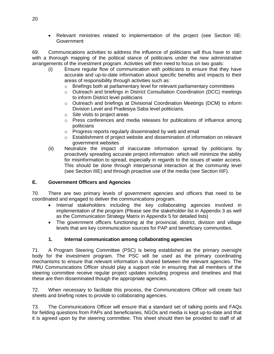Relevant ministries related to implementation of the project (see Section IIE: **Government** 

69. Communications activities to address the influence of politicians will thus have to start with a thorough mapping of the political stance of politicians under the new administrative arrangements of the investment program. Activities will then need to focus on two goals:

- (i) Ensure regular flow of communication with politicians to ensure that they have accurate and up-to-date information about specific benefits and impacts to their areas of responsibility through activities such as:
	- o Briefings both at parliamentary level for relevant parliamentary committees
	- o Outreach and briefings in District Consultation Coordination (DCC) meetings to inform District level politicians
	- o Outreach and briefings at Divisional Coordination Meetings (DCM) to inform Division Level and Pradesiya Saba level politicians.
	- o Site visits to project areas
	- $\circ$  Press conferences and media releases for publications of influence among politicians
	- o Progress reports regularly disseminated by web and email
	- $\circ$  Establishment of project website and dissemination of information on relevant government websites
- (ii) Neutralize the impact of inaccurate information spread by politicians by proactively spreading accurate project information which will minimize the ability for misinformation to spread, especially in regards to the issues of water access. This should be done through interpersonal interaction at the community level (see Section IIIE) and through proactive use of the media (see Section IIIF).

# <span id="page-23-0"></span>**E. Government Officers and Agencies**

70. There are two primary levels of government agencies and officers that need to be coordinated and engaged to deliver the communications program.

- Internal stakeholders including the key collaborating agencies involved in implementation of the program (Please see the stakeholder list in Appendix 3 as well as the Communication Strategy Matrix in Appendix 5 for detailed lists)
- The government officers functioning at the provincial, district, division and village levels that are key communication sources for PAP and beneficiary communities.

# **1. Internal communication among collaborating agencies**

71. A Program Steering Committee (PSC) is being established as the primary oversight body for the investment program. The PSC will be used as the primary coordinating mechanisms to ensure that relevant information is shared between the relevant agencies. The PMU Communications Officer should play a support role in ensuring that all members of the steering committee receive regular project updates including progress and timelines and that these are then disseminated though the appropriate agencies.

72. When necessary to facilitate this process, the Communications Officer will create fact sheets and briefing notes to provide to collaborating agencies.

73. The Communications Officer will ensure that a standard set of talking points and FAQs for fielding questions from PAPs and beneficiaries, NGOs and media is kept up-to-date and that it is agreed upon by the steering committee. This sheet should then be provided to staff of all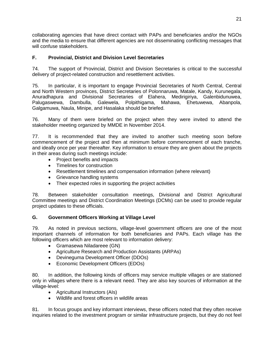collaborating agencies that have direct contact with PAPs and beneficiaries and/or the NGOs and the media to ensure that different agencies are not disseminating conflicting messages that will confuse stakeholders.

# <span id="page-24-0"></span>**F. Provincial, District and Division Level Secretaries**

74. The support of Provincial, District and Division Secretaries is critical to the successful delivery of project-related construction and resettlement activities.

75. In particular, it is important to engage Provincial Secretaries of North Central, Central and North Western provinces, District Secretaries of Polonnaruwa, Matale, Kandy, Kurunegala, Anuradhapura and Divisional Secretaries of Elahera, Medirigiriya, Galenbidunuwea, Palugaswewa, Dambulla, Galewela, Polpithigama, Mahawa, Ehetuwewa, Abanpola, Galgamuwa, Naula, Minipe, and Hasalaka should be briefed.

76. Many of them were briefed on the project when they were invited to attend the stakeholder meeting organized by MMDE in November 2014.

77. It is recommended that they are invited to another such meeting soon before commencement of the project and then at minimum before commencement of each tranche, and ideally once per year thereafter. Key information to ensure they are given about the projects in their areas during such meetings include:

- Project benefits and impacts
- Timelines for construction
- Resettlement timelines and compensation information (where relevant)
- Grievance handling systems
- Their expected roles in supporting the project activities

78. Between stakeholder consultation meetings, Divisional and District Agricultural Committee meetings and District Coordination Meetings (DCMs) can be used to provide regular project updates to these officials.

# <span id="page-24-1"></span>**G. Government Officers Working at Village Level**

79. As noted in previous sections, village-level government officers are one of the most important channels of information for both beneficiaries and PAPs. Each village has the following officers which are most relevant to information delivery:

- Gramasewa Niladareee (GN)
- Agriculture Research and Production Assistants (ARPAs)
- Devineguma Development Officer (DDOs)
- Economic Development Officers (EDOs)

80. In addition, the following kinds of officers may service multiple villages or are stationed only in villages where there is a relevant need. They are also key sources of information at the village-level:

- Agricultural Instructors (AIs)
- Wildlife and forest officers in wildlife areas

81. In focus groups and key informant interviews, these officers noted that they often receive inquiries related to the investment program or similar infrastructure projects, but they do not feel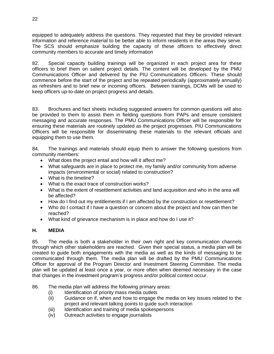equipped to adequately address the questions. They requested that they be provided relevant information and reference material to be better able to inform residents in the areas they serve. The SCS should emphasize building the capacity of these officers to effectively direct community members to accurate and timely information

82. Special capacity building trainings will be organized in each project area for these officers to brief them on salient project details. The content will be developed by the PMU Communications Officer and delivered by the PIU Communications Officers. These should commence before the start of the project and be repeated periodically (approximately annually) as refreshers and to brief new or incoming officers. Between trainings, DCMs will be used to keep officers up-to-date on project progress and details.

83. Brochures and fact sheets including suggested answers for common questions will also be provided to them to assist them in fielding questions from PAPs and ensure consistent messaging and accurate responses. The PMU Communications Officer will be responsible for ensuring these materials are routinely updated as the project progresses. PIU Communications Officers will be responsible for disseminating these materials to the relevant officials and equipping them to use them.

84. The trainings and materials should equip them to answer the following questions from community members:

- What does the project entail and how will it affect me?
- What safeguards are in place to protect me, my family and/or community from adverse impacts (environmental or social) related to construction?
- What is the timeline?
- What is the exact trace of construction works?
- What is the extent of resettlement activities and land acquisition and who in the area will be affected?
- How do I find out my entitlements if I am affected by the construction or resettlement?
- Who do I contact if I have a question or concern about the project and how can then be reached?
- What kind of grievance mechanism is in place and how do I use it?

# <span id="page-25-0"></span>**H. MEDIA**

85. The media is both a stakeholder in their own right and key communication channels through which other stakeholders are reached. Given their special status, a media plan will be created to guide both engagements with the media as well as the kinds of messaging to be communicated through them. The media plan will be drafted by the PMU Communications Officer for approval of the Program Director and Investment Steering Committee. The media plan will be updated at least once a year, or more often when deemed necessary in the case that changes in the investment program's progress and/or political context occur.

86. The media plan will address the following primary areas:

- (i) Identification of priority mass media outlets
- (ii) Guidance on if, when and how to engage the media on key issues related to the project and relevant talking points to guide such interaction
- (iii) Identification and training of media spokespersons
- (iv) Outreach activities to engage journalists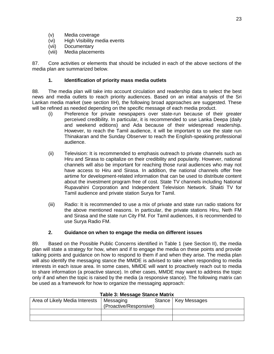- (v) Media coverage
- (vi) High Visibility media events
- (vii) Documentary
- (viii) Media placements

87. Core activities or elements that should be included in each of the above sections of the media plan are summarized below.

# **1. Identification of priority mass media outlets**

88. The media plan will take into account circulation and readership data to select the best news and media outlets to reach priority audiences. Based on an initial analysis of the Sri Lankan media market (see section IIH), the following broad approaches are suggested. These will be refined as needed depending on the specific message of each media product.

- (i) Preference for private newspapers over state-run because of their greater perceived credibility. In particular, it is recommended to use Lanka Deepa (daily and weekend editions) and Ada because of their widespread readership. However, to reach the Tamil audience, it will be important to use the state run Thinakaran and the Sunday Observer to reach the English-speaking professional audience.
- (ii) Television: It is recommended to emphasis outreach to private channels such as Hiru and Sirasa to capitalize on their credibility and popularity. However, national channels will also be important for reaching those rural audiences who may not have access to Hiru and Sirasa. In addition, the national channels offer free airtime for development-related information that can be used to distribute content about the investment program free of cost. State TV channels including National Rupavahini Corporation and Independent Television Network. Shakti TV for Tamil audience and private station Surya for Tamil.
- (iii) Radio: It is recommended to use a mix of private and state run radio stations for the above mentioned reasons. In particular, the private stations Hiru, Neth FM and Sirasa and the state run City FM. For Tamil audiences, it is recommended to use Surya Radio FM.

### **2. Guidance on when to engage the media on different issues**

89. Based on the Possible Public Concerns identified in Table 1 (see Section II), the media plan will state a strategy for how, when and if to engage the media on these points and provide talking points and guidance on how to respond to them if and when they arise. The media plan will also identify the messaging stance the MMDE is advised to take when responding to media interests in each issue area. In some cases, MMDE will want to proactively reach out to media to share information (a proactive stance). In other cases, MMDE may want to address the topic only if and when the topic is raised by the media (a responsive stance). The following matrix can be used as a framework for how to organize the messaging approach:

| rapic o. mcoouge olanoe matrix |                        |  |                       |  |  |
|--------------------------------|------------------------|--|-----------------------|--|--|
| Area of Likely Media Interests | Messaging              |  | Stance   Key Messages |  |  |
|                                | (Proactive/Responsive) |  |                       |  |  |
|                                |                        |  |                       |  |  |
|                                |                        |  |                       |  |  |

### **Table 3: Message Stance Matrix**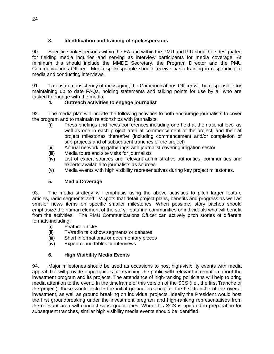# **3. Identification and training of spokespersons**

90. Specific spokespersons within the EA and within the PMU and PIU should be designated for fielding media inquiries and serving as interview participants for media coverage. At minimum this should include the MMDE Secretary, the Program Director and the PMU Communications Officer. Media spokespeople should receive basic training in responding to media and conducting interviews.

91. To ensure consistency of messaging, the Communications Officer will be responsible for maintaining up to date FAQs, holding statements and talking points for use by all who are tasked to engage with the media.

# **4. Outreach activities to engage journalist**

92. The media plan will include the following activities to both encourage journalists to cover the program and to maintain relationships with journalists:

- (i) Press briefings and news conferences including one held at the national level as well as one in each project area at commencement of the project, and then at project milestones thereafter (including commencement and/or completion of sub-projects and of subsequent tranches of the project)
- (ii) Annual networking gatherings with journalist covering irrigation sector
- (iii) Media tours and site visits for journalists
- (iv) List of expert sources and relevant administrative authorities, communities and experts available to journalists as sources
- (v) Media events with high visibility representatives during key project milestones.

# **5. Media Coverage**

93. The media strategy will emphasis using the above activities to pitch larger feature articles, radio segments and TV spots that detail project plans, benefits and progress as well as smaller news items on specific smaller milestones. When possible, story pitches should emphasize the human element of the story, featuring communities or individuals who will benefit from the activities. The PMU Communications Officer can actively pitch stories of different formats including:

- (i) Feature articles
- (ii) TV/radio talk show segments or debates
- (iii) Short informational or documentary pieces
- (iv) Expert round tables or interviews

# **6. High Visibility Media Events**

94. Major milestones should be used as occasions to host high-visibility events with media appeal that will provide opportunities for reaching the public with relevant information about the investment program and its projects. The attendance of high-ranking politicians will help to bring media attention to the event. In the timeframe of this version of the SCS (i.e., the first Tranche of the project), these would include the initial ground breaking for the first tranche of the overall investment, as well as ground breaking on individual projects. Ideally the President would host the first groundbreaking under the investment program and high-ranking representatives from the relevant area will conduct subsequent ones. When this SCS is updated in preparation for subsequent tranches, similar high visibility media events should be identified.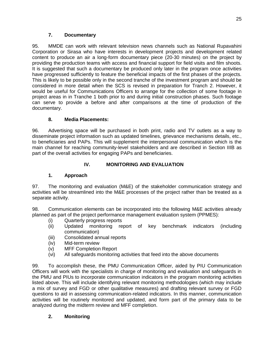# **7. Documentary**

95. MMDE can work with relevant television news channels such as National Rupavahini Corporation or Sirasa who have interests in development projects and development related content to produce an air a long-form documentary piece (20-30 minutes) on the project by providing the production teams with access and financial support for field visits and film shoots. It is suggested that such a documentary be produced only later in the program once activities have progressed sufficiently to feature the beneficial impacts of the first phases of the projects. This is likely to be possible only in the second tranche of the investment program and should be considered in more detail when the SCS is revised in preparation for Tranch 2. However, it would be useful for Communications Officers to arrange for the collection of some footage in project areas in in Tranche 1 both prior to and during initial construction phases. Such footage can serve to provide a before and after comparisons at the time of production of the documentary.

# **8. Media Placements:**

96. Advertising space will be purchased in both print, radio and TV outlets as a way to disseminate project information such as updated timelines, grievance mechanisms details, etc., to beneficiaries and PAPs. This will supplement the interpersonal communication which is the main channel for reaching community-level stakeholders and are described in Section IIIB as part of the overall activities for engaging PAPs and beneficiaries.

# **IV. MONITORING AND EVALUATION**

# <span id="page-28-0"></span>**1. Approach**

97. The monitoring and evaluation (M&E) of the stakeholder communication strategy and activities will be streamlined into the M&E processes of the project rather than be treated as a separate activity.

98. Communication elements can be incorporated into the following M&E activities already planned as part of the project performance management evaluation system (PPMES):

- (i) Quarterly progress reports
- (ii) Updated monitoring report of key benchmark indicators (including communication)
- (iii) Consolidated annual reports
- (iv) Mid-term review
- (v) MFF Completion Report
- (vi) All safeguards monitoring activities that feed into the above documents

99. To accomplish these, the PMU Communication Officer, aided by PIU Communication Officers will work with the specialists in charge of monitoring and evaluation and safeguards in the PMU and PIUs to incorporate communication indicators in the program monitoring activities listed above. This will include identifying relevant monitoring methodologies (which may include a mix of survey and FGD or other qualitative measures) and drafting relevant survey or FGD questions to aid in assessing communication-related indicators. In this manner, communication activities will be routinely monitored and updated, and form part of the primary data to be analyzed during the midterm review and MFF completion.

# **2. Monitoring**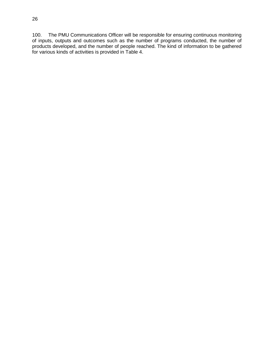100. The PMU Communications Officer will be responsible for ensuring continuous monitoring of inputs, outputs and outcomes such as the number of programs conducted, the number of products developed, and the number of people reached. The kind of information to be gathered for various kinds of activities is provided in Table 4.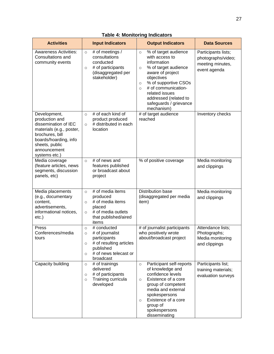| <b>Activities</b>                                                                                                                                                                 | <b>Input Indicators</b>                                                                                                                                                  | <b>Output Indicators</b>                                                                                                                                                                                                                                                                      | <b>Data Sources</b>                                                           |
|-----------------------------------------------------------------------------------------------------------------------------------------------------------------------------------|--------------------------------------------------------------------------------------------------------------------------------------------------------------------------|-----------------------------------------------------------------------------------------------------------------------------------------------------------------------------------------------------------------------------------------------------------------------------------------------|-------------------------------------------------------------------------------|
| <b>Awareness Activities:</b><br>Consultations and<br>community events                                                                                                             | # of meetings /<br>$\circ$<br>consultations<br>conducted<br># of participants<br>$\circ$<br>(disaggregated per<br>stakeholder)                                           | % of target audience<br>$\circ$<br>with access to<br>information<br>% of target audience<br>$\circ$<br>aware of project<br>objectives<br>% of supportive CSOs<br>$\circ$<br># of communication-<br>$\circ$<br>related issues<br>addressed (related to<br>safeguards / grievance<br>mechanism) | Participants lists;<br>photographs/video;<br>meeting minutes,<br>event agenda |
| Development,<br>production and<br>dissemination of IEC<br>materials (e.g., poster,<br>brochures, bill<br>boards/hoarding, info<br>sheets, public<br>announcement<br>systems etc.) | # of each kind of<br>$\circ$<br>product produced<br># distributed in each<br>$\circ$<br>location                                                                         | $#$ of target audience<br>reached                                                                                                                                                                                                                                                             | Inventory checks                                                              |
| Media coverage<br>(feature articles, news<br>segments, discussion<br>panels, etc)                                                                                                 | # of news and<br>$\circ$<br>features published<br>or broadcast about<br>project                                                                                          | % of positive coverage                                                                                                                                                                                                                                                                        | Media monitoring<br>and clippings                                             |
| Media placements<br>(e.g., documentary<br>content,<br>advertisements,<br>informational notices,<br>$etc.$ )                                                                       | # of media items<br>$\circ$<br>produced<br># of media items<br>$\circ$<br>placed<br># of media outlets<br>$\circ$<br>that published/aired<br>items                       | <b>Distribution base</b><br>(disaggregated per media<br>item)                                                                                                                                                                                                                                 | Media monitoring<br>and clippings                                             |
| Press<br>Conferences/media<br>tours                                                                                                                                               | # conducted<br>$\circ$<br># of journalist<br>$\circ$<br>participants<br># of resulting articles<br>$\circ$<br>published<br># of news telecast or<br>$\circ$<br>broadcast | # of journalist participants<br>who positively wrote<br>about/broadcast project                                                                                                                                                                                                               | Attendance lists;<br>Photographs;<br>Media monitoring<br>and clippings        |
| Capacity building                                                                                                                                                                 | # of trainings<br>$\circ$<br>delivered<br># of participants<br>$\circ$<br>Training curricula<br>$\circ$<br>developed                                                     | Participant self-reports<br>$\circ$<br>of knowledge and<br>confidence levels<br>Existence of a core<br>$\circ$<br>group of competent<br>media and external<br>spokespersons<br>Existence of a core<br>$\circ$<br>group of<br>spokespersons<br>disseminating                                   | Participants list;<br>training materials;<br>evaluation surveys               |

# **Table 4: Monitoring Indicators**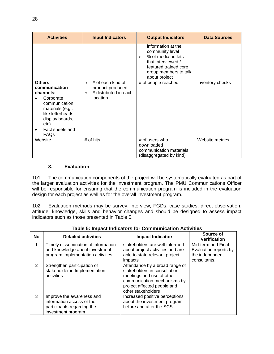| <b>Activities</b>                                                                                                                                                                          | <b>Input Indicators</b>                                                                                  | <b>Output Indicators</b>                                                                                                                                         | <b>Data Sources</b> |
|--------------------------------------------------------------------------------------------------------------------------------------------------------------------------------------------|----------------------------------------------------------------------------------------------------------|------------------------------------------------------------------------------------------------------------------------------------------------------------------|---------------------|
|                                                                                                                                                                                            |                                                                                                          | information at the<br>community level<br>% of media outlets<br>$\Omega$<br>that interviewed /<br>featured trained core<br>group members to talk<br>about project |                     |
| <b>Others</b><br>communication<br>channels:<br>Corporate<br>٠<br>communication<br>materials (e.g.,<br>like letterheads,<br>display boards,<br>etc)<br>Fact sheets and<br>$\bullet$<br>FAQs | # of each kind of<br>$\Omega$<br>product produced<br># distributed in each<br>$\circ$<br><i>location</i> | # of people reached                                                                                                                                              | Inventory checks    |
| Website                                                                                                                                                                                    | $#$ of hits                                                                                              | # of users who<br>downloaded<br>communication materials<br>(disaggregated by kind)                                                                               | Website metrics     |

### **3. Evaluation**

101. The communication components of the project will be systematically evaluated as part of the larger evaluation activities for the investment program. The PMU Communications Officer will be responsible for ensuring that the communication program is included in the evaluation design for each project as well as for the overall investment program.

102. Evaluation methods may be survey, interview, FGDs, case studies, direct observation, attitude, knowledge, skills and behavior changes and should be designed to assess impact indicators such as those presented in Table 5.

| <b>No</b>      | <b>Detailed activities</b>                                                                                  | <b>Impact Indicators</b>                                                                                                                                                        | Source of<br><b>Verification</b>                                               |
|----------------|-------------------------------------------------------------------------------------------------------------|---------------------------------------------------------------------------------------------------------------------------------------------------------------------------------|--------------------------------------------------------------------------------|
| 1              | Timely dissemination of information<br>and knowledge about investment<br>program implementation activities. | stakeholders are well informed<br>about project activities and are<br>able to state relevant project<br>impacts                                                                 | Mid-term and Final<br>Evaluation reports by<br>the independent<br>consultants. |
| $\overline{2}$ | Strengthen participation of<br>stakeholder in Implementation<br>activities                                  | Attendance by a broad range of<br>stakeholders in consultation<br>meetings and use of other<br>communication mechanisms by<br>project affected people and<br>other stakeholders |                                                                                |
| 3              | Improve the awareness and<br>information access of the<br>participants regarding the<br>investment program  | Increased positive perceptions<br>about the investment program<br>before and after the SCS.                                                                                     |                                                                                |

### **Table 5: Impact Indicators for Communication Activities**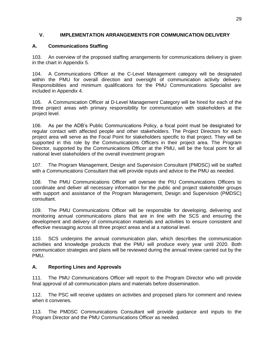# <span id="page-32-0"></span>**V. IMPLEMENTATION ARRANGEMENTS FOR COMMUNICATION DELIVERY**

# **A. Communications Staffing**

103. An overview of the proposed staffing arrangements for communications delivery is given in the chart in Appendix 5.

104. A Communications Officer at the C-Level Management category will be designated within the PMU for overall direction and oversight of communication activity delivery. Responsibilities and minimum qualifications for the PMU Communications Specialist are included in Appendix 4.

105. A Communication Officer at D-Level Management Category will be hired for each of the three project areas with primary responsibility for communication with stakeholders at the project level.

106. As per the ADB's Public Communications Policy, a focal point must be designated for regular contact with affected people and other stakeholders. The Project Directors for each project area will serve as the Focal Point for stakeholders specific to that project. They will be supported in this role by the Communications Officers in their project area. The Program Director, supported by the Communications Officer at the PMU, will be the focal point for all national level stakeholders of the overall investment program

107. The Program Management, Design and Supervision Consultant (PMDSC) will be staffed with a Communications Consultant that will provide inputs and advice to the PMU as needed.

108. The PMU Communications Officer will oversee the PIU Communications Officers to coordinate and deliver all necessary information for the public and project stakeholder groups with support and assistance of the Program Management, Design and Supervision (PMDSC) consultant.

109. The PMU Communications Officer will be responsible for developing, delivering and monitoring annual communications plans that are in line with the SCS and ensuring the development and delivery of communication materials and activities to ensure consistent and effective messaging across all three project areas and at a national level.

110. SCS underpins the annual communication plan, which describes the communication activities and knowledge products that the PMU will produce every year until 2020. Both communication strategies and plans will be reviewed during the annual review carried out by the PMU.

# <span id="page-32-1"></span>**A. Reporting Lines and Approvals**

111. The PMU Communications Officer will report to the Program Director who will provide final approval of all communication plans and materials before dissemination.

112. The PSC will receive updates on activities and proposed plans for comment and review when it convenes.

113. The PMDSC Communications Consultant will provide guidance and inputs to the Program Director and the PMU Communications Officer as needed.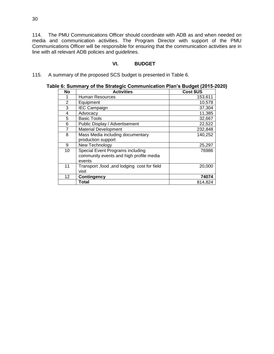114. The PMU Communications Officer should coordinate with ADB as and when needed on media and communication activities. The Program Director with support of the PMU Communications Officer will be responsible for ensuring that the communication activities are in line with all relevant ADB policies and guidelines.

### **VI. BUDGET**

<span id="page-33-0"></span>115. A summary of the proposed SCS budget is presented in Table 6.

| No              | <b>Activities</b>                           | Cost \$US |
|-----------------|---------------------------------------------|-----------|
| 1               | Human Resources                             | 153,611   |
| 2               | Equipment                                   | 10,578    |
| 3               | <b>IEC Campaign</b>                         | 37,304    |
| 4               | Advocacy                                    | 11,385    |
| 5               | <b>Basic Tools</b>                          | 32,667    |
| 6               | Public Display / Advertisement              | 22,522    |
| $\overline{7}$  | <b>Material Development</b>                 | 232,848   |
| 8               | Mass Media including documentary            | 140,252   |
|                 | production support                          |           |
| 9               | New Technology                              | 25,297    |
| 10              | Special Event Programs including            | 76986     |
|                 | community events and high profile media     |           |
|                 | events                                      |           |
| 11              | Transport, food, and lodging cost for field | 20,000    |
|                 | visit                                       |           |
| 12 <sup>2</sup> | <b>Contingency</b>                          | 74074     |
|                 | Total                                       | 814,824   |

# **Table 6: Summary of the Strategic Communication Plan's Budget (2015-2020)**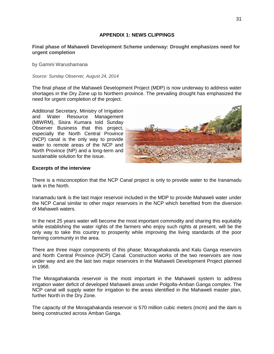### **APPENDIX 1: NEWS CLIPPINGS**

### <span id="page-34-0"></span>**Final phase of Mahaweli Development Scheme underway: Drought emphasizes need for urgent completion**

by Gamini Warushamana

*Source: Sunday Observer, August 24, 2014*

The final phase of the Mahaweli Development Project (MDP) is now underway to address water shortages in the Dry Zone up to Northern province. The prevailing drought has emphasized the need for urgent completion of the project.

Additional Secretary, Ministry of Irrigation and Water Resource Management (MIWRM), Sisira Kumara told Sunday Observer Business that this project, especially the North Central Province (NCP) canal is the only way to provide water to remote areas of the NCP and North Province (NP) and a long-term and sustainable solution for the issue.



### **Excerpts of the interview**

There is a misconception that the NCP Canal project is only to provide water to the Iranamadu tank in the North.

Iranamadu tank is the last major reservoir included in the MDP to provide Mahaweli water under the NCP Canal similar to other major reservoirs in the NCP which benefited from the diversion of Mahaweli waters.

In the next 25 years water will become the most important commodity and sharing this equitably while establishing the water rights of the farmers who enjoy such rights at present, will be the only way to take this country to prosperity while improving the living standards of the poor farming community in the area.

There are three major components of this phase; Moragahakanda and Kalu Ganga reservoirs and North Central Province (NCP) Canal. Construction works of the two reservoirs are now under way and are the last two major reservoirs in the Mahaweli Development Project planned in 1968.

The Moragahakanda reservoir is the most important in the Mahaweli system to address irrigation water deficit of developed Mahaweli areas under Polgolla-Amban Ganga complex. The NCP canal will supply water for irrigation to the areas identified in the Mahaweli master plan, further North in the Dry Zone.

The capacity of the Moragahakanda reservoir is 570 million cubic meters (mcm) and the dam is being constructed across Amban Ganga.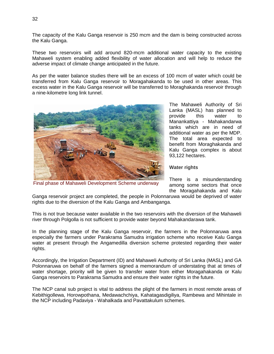The capacity of the Kalu Ganga reservoir is 250 mcm and the dam is being constructed across the Kalu Ganga.

These two reservoirs will add around 820-mcm additional water capacity to the existing Mahaweli system enabling added flexibility of water allocation and will help to reduce the adverse impact of climate change anticipated in the future.

As per the water balance studies there will be an excess of 100 mcm of water which could be transferred from Kalu Ganga reservoir to Moragahakanda to be used in other areas. This excess water in the Kalu Ganga reservoir will be transferred to Moraghakanda reservoir through a nine-kilometre long link tunnel.



Final phase of Mahaweli Development Scheme underway

The Mahaweli Authority of Sri Lanka (MASL) has planned to provide this water to Manankattiya - Mahakandarwa tanks which are in need of additional water as per the MDP. The total area expected to benefit from Moraghakanda and Kalu Ganga complex is about 93,122 hectares.

### **Water rights**

There is a misunderstanding among some sectors that once the Moragahakanda and Kalu

Ganga reservoir project are completed, the people in Polonnaruwa would be deprived of water rights due to the diversion of the Kalu Ganga and Ambanganga.

This is not true because water available in the two reservoirs with the diversion of the Mahaweli river through Polgolla is not sufficient to provide water beyond Mahakandarawa tank.

In the planning stage of the Kalu Ganga reservoir, the farmers in the Polonnaruwa area especially the farmers under Parakrama Samudra irrigation scheme who receive Kalu Ganga water at present through the Angamedilla diversion scheme protested regarding their water rights.

Accordingly, the Irrigation Department (ID) and Mahaweli Authority of Sri Lanka (MASL) and GA Polonnaruwa on behalf of the farmers signed a memorandum of understating that at times of water shortage, priority will be given to transfer water from either Moragahakanda or Kalu Ganga reservoirs to Parakrama Samudra and ensure their water rights in the future.

The NCP canal sub project is vital to address the plight of the farmers in most remote areas of Kebithigollewa, Horowpothana, Medawachchiya, Kahatagasdigiliya, Rambewa and Mihintale in the NCP including Padaviya - Wahalkada and Pavattakulum schemes.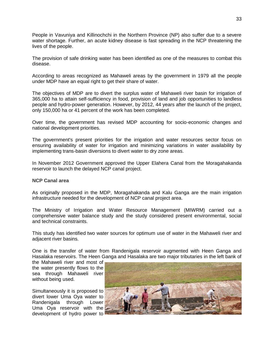People in Vavuniya and Killinochchi in the Northern Province (NP) also suffer due to a severe water shortage. Further, an acute kidney disease is fast spreading in the NCP threatening the lives of the people.

The provision of safe drinking water has been identified as one of the measures to combat this disease.

According to areas recognized as Mahaweli areas by the government in 1979 all the people under MDP have an equal right to get their share of water.

The objectives of MDP are to divert the surplus water of Mahaweli river basin for irrigation of 365,000 ha to attain self-sufficiency in food, provision of land and job opportunities to landless people and hydro-power generation. However, by 2012, 44 years after the launch of the project, only 150,000 ha or 41 percent of the work has been completed.

Over time, the government has revised MDP accounting for socio-economic changes and national development priorities.

The government's present priorities for the irrigation and water resources sector focus on ensuring availability of water for irrigation and minimizing variations in water availability by implementing trans-basin diversions to divert water to dry zone areas.

In November 2012 Government approved the Upper Elahera Canal from the Moragahakanda reservoir to launch the delayed NCP canal project.

### **NCP Canal area**

As originally proposed in the MDP, Moragahakanda and Kalu Ganga are the main irrigation infrastructure needed for the development of NCP canal project area.

The Ministry of Irrigation and Water Resource Management (MIWRM) carried out a comprehensive water balance study and the study considered present environmental, social and technical constraints.

This study has identified two water sources for optimum use of water in the Mahaweli river and adjacent river basins.

One is the transfer of water from Randenigala reservoir augmented with Heen Ganga and Hasalaka reservoirs. The Heen Ganga and Hasalaka are two major tributaries in the left bank of

the Mahaweli river and most of the water presently flows to the sea through Mahaweli river without being used.

Simultaneously it is proposed to divert lower Uma Oya water to Randenigala through Lower Uma Oya reservoir with the development of hydro power to

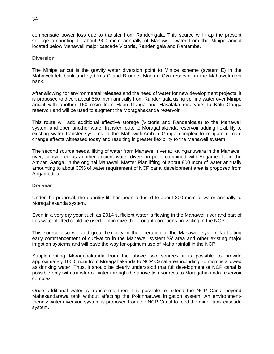compensate power loss due to transfer from Randenigala. This source will trap the present spillage amounting to about 900 mcm annually of Mahaweli water from the Minipe anicut located below Mahaweli major cascade Victoria, Randenigala and Rantambe.

### **Diversion**

The Minipe anicut is the gravity water diversion point to Minipe scheme (system E) in the Mahaweli left bank and systems C and B under Maduru Oya reservoir in the Mahaweli right bank.

After allowing for environmental releases and the need of water for new development projects, it is proposed to divert about 550 mcm annually from Randenigala using spilling water over Minipe anicut with another 150 mcm from Heen Ganga and Hasalaka reservoirs to Kalu Ganga reservoir and will be used to augment the Moragahakanda reservoir.

This route will add additional effective storage (Victoria and Randenigala) to the Mahaweli system and open another water transfer route to Moragahakanda reservoir adding flexibility to existing water transfer systems in the Mahaweli-Amban Ganga complex to mitigate climate change effects witnessed today and resulting in greater flexibility to the Mahaweli system.

The second source needs, lifting of water from Mahaweli river at Kalinganuwara in the Mahaweli river, considered as another ancient water diversion point combined with Angamedilla in the Amban Ganga. In the original Mahaweli Master Plan lifting of about 800 mcm of water annually amounting to about 30% of water requirement of NCP canal development area is proposed from Angamedilla.

### **Dry year**

Under the proposal, the quantity lift has been reduced to about 300 mcm of water annually to Moragahakanda system.

Even in a very dry year such as 2014 sufficient water is flowing in the Mahaweli river and part of this water if lifted could be used to minimize the drought conditions prevailing in the NCP.

This source also will add great flexibility in the operation of the Mahaweli system facilitating early commencement of cultivation in the Mahaweli system 'G' area and other existing major irrigation systems and will pave the way for optimum use of Maha rainfall in the NCP.

Supplementing Moragahakanda from the above two sources it is possible to provide approximately 1000 mcm from Moragahakanda to NCP Canal area including 70 mcm is allowed as drinking water. Thus, it should be clearly understood that full development of NCP canal is possible only with transfer of water through the above two sources to Moragahakanda reservoir complex.

Once additional water is transferred then it is possible to extend the NCP Canal beyond Mahakandarawa tank without affecting the Polonnaruwa irrigation system. An environmentfriendly water diversion system is proposed from the NCP Canal to feed the minor tank cascade system.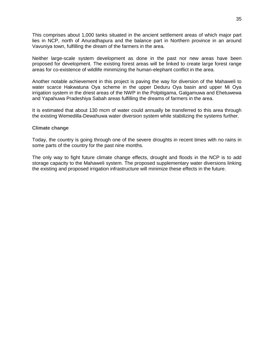This comprises about 1,000 tanks situated in the ancient settlement areas of which major part lies in NCP, north of Anuradhapura and the balance part in Northern province in an around Vavuniya town, fulfilling the dream of the farmers in the area.

Neither large-scale system development as done in the past nor new areas have been proposed for development. The existing forest areas will be linked to create large forest range areas for co-existence of wildlife minimizing the human-elephant conflict in the area.

Another notable achievement in this project is paving the way for diversion of the Mahaweli to water scarce Hakwatuna Oya scheme in the upper Deduru Oya basin and upper Mi Oya irrigation system in the driest areas of the NWP in the Polpitigama, Galgamuwa and Ehetuwewa and Yapahuwa Pradeshiya Sabah areas fulfilling the dreams of farmers in the area.

It is estimated that about 130 mcm of water could annually be transferred to this area through the existing Wemedilla-Dewahuwa water diversion system while stabilizing the systems further.

#### **Climate change**

Today, the country is going through one of the severe droughts in recent times with no rains in some parts of the country for the past nine months.

The only way to fight future climate change effects, drought and floods in the NCP is to add storage capacity to the Mahaweli system. The proposed supplementary water diversions linking the existing and proposed irrigation infrastructure will minimize these effects in the future.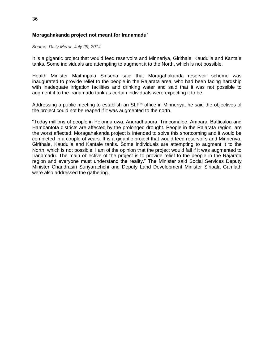# **Moragahakanda project not meant for Iranamadu'**

*Source: Daily Mirror, July 29, 2014*

It is a gigantic project that would feed reservoirs and Minneriya, Girithale, Kaudulla and Kantale tanks. Some individuals are attempting to augment it to the North, which is not possible.

Health Minister Maithripala Sirisena said that Moragahakanda reservoir scheme was inaugurated to provide relief to the people in the Rajarata area, who had been facing hardship with inadequate irrigation facilities and drinking water and said that it was not possible to augment it to the Iranamadu tank as certain individuals were expecting it to be.

Addressing a public meeting to establish an SLFP office in Minneriya, he said the objectives of the project could not be reaped if it was augmented to the north.

"Today millions of people in Polonnaruwa, Anuradhapura, Trincomalee, Ampara, Batticaloa and Hambantota districts are affected by the prolonged drought. People in the Rajarata region, are the worst affected. Moragahakanda project is intended to solve this shortcoming and it would be completed in a couple of years. It is a gigantic project that would feed reservoirs and Minneriya, Girithale, Kaudulla and Kantale tanks. Some individuals are attempting to augment it to the North, which is not possible. I am of the opinion that the project would fail if it was augmented to Iranamadu. The main objective of the project is to provide relief to the people in the Rajarata region and everyone must understand the reality." The Minister said Social Services Deputy Minister Chandrasiri Suriyarachchi and Deputy Land Development Minister Siripala Gamlath were also addressed the gathering.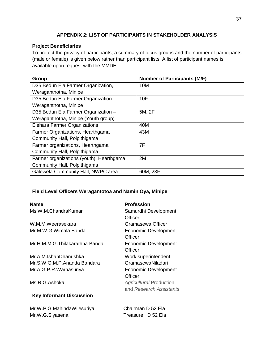# **APPENDIX 2: LIST OF PARTICIPANTS IN STAKEHOLDER ANALYSIS**

# <span id="page-40-0"></span>**Project Beneficiaries**

To protect the privacy of participants, a summary of focus groups and the number of participants (male or female) is given below rather than participant lists. A list of participant names is available upon request with the MMDE.

| Group                                    | <b>Number of Participants (M/F)</b> |
|------------------------------------------|-------------------------------------|
| D35 Bedun Ela Farmer Organization,       | 10M                                 |
| Weraganthotha, Minipe                    |                                     |
| D35 Bedun Ela Farmer Organization -      | 10F                                 |
| Weraganthotha, Minipe                    |                                     |
| D35 Bedun Ela Farmer Organization -      | 5M, 2F                              |
| Weraganthotha, Minipe (Youth group)      |                                     |
| <b>Elehara Farmer Organizations</b>      | 40M                                 |
| Farmer Organizations, Hearthgama         | 43M                                 |
| Community Hall, Polpithigama             |                                     |
| Farmer organizations, Hearthgama         | 7F                                  |
| Community Hall, Polpithigama             |                                     |
| Farmer organizations (youth), Hearthgama | 2M                                  |
| Community Hall, Polpithigama             |                                     |
| Galewela Community Hall, NWPC area       | 60M, 23F                            |
|                                          |                                     |

# **Field Level Officers Weragantotoa and NaminiOya, Minipe**

| <b>Name</b>                     | <b>Profession</b>              |
|---------------------------------|--------------------------------|
| Ms.W.M.ChandraKumari            | Samurdhi Development           |
|                                 | Officer                        |
| W.M.M.Weerasekara               | Gramasewa Officer              |
| Mr.M.W.G.Wimala Banda           | <b>Economic Development</b>    |
|                                 | Officer                        |
| Mr.H.M.M.G.Thilakarathna Banda  | <b>Economic Development</b>    |
|                                 | Officer                        |
| Mr.A.M.IshanDhanushka           | Work superintendent            |
| Mr.S.W.G.M.P.Ananda Bandara     | GramasewaNiladari              |
| Mr.A.G.P.R.Warnasuriya          | Economic Development           |
|                                 | Officer                        |
| Ms.R.G.Ashoka                   | <b>Agricultural Production</b> |
|                                 | and Research Assistants        |
| <b>Key Informant Discussion</b> |                                |
|                                 |                                |

Mr.W.P.G.MahindaWijesuriya Chairman D 52 Ela Mr.W.G.Siyasena Treasure D 52 Ela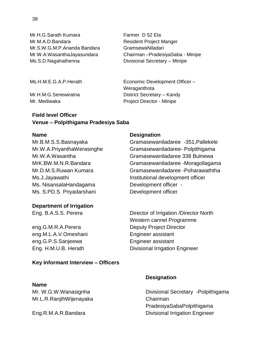Mr.H.G.Sarath Kumara Farmer D 52 Ela Mr.M.A.D.Bandara Resident Project Manger Mr.S.W.G.M.P.Ananda Bandara GramsewaNiladari Mr.W.A.WasanthaJayasundara Chairman –PradesiyaSaba - Minipe Ms.S.D.Nagahathenna Divisional Secretary – Minipe

Ms.H.M.E.G.A.P.Herath Economic Development Officer –

Mr.H.M.G.Senewiratna District Secretary – Kandy Mr. Mediwaka **Project Director - Minipe** 

# **Field level Officer Venue – Polpithigama Pradesiya Saba**

### **Name** Designation

Ms. NisansalaHandagama Development officer -Ms. S.PD.S. Priyadarshani Development officer

### **Department of Irrigation**

eng.M.L.A.V.Omeshani Engineer assistant eng.G.P.S.Sanjeewa Engineer assistant

### **Key Informant Interview – Officers**

### **Name**

Mr.L.R.RanjthWijenayaka Chairman

Weraganthota

Mr.B.M.S.S.Basnayaka Gramasewaniladaree -351,Pallekele Mr.W.A.PriyanthaWerasinghe Gramasewaniladaree- Polpithigama Mr.W.A.Wasantha Gramasewaniladaree 338 Bulnewa MrK.BW.M.N.R.Bandara Gramasewaniladaree -Moragollagama Mr.D.M.S.Ruwan Kumara Gramasewaniladaree -Poharawaththa Ms.J.Jayawathi Institutional development officer

Eng. B.A.S.S. Perera Director of Irrigation /Director North Western cannel Programme eng.G.M.R.A.Perera Deputy Project Director Eng. H.M.U.B. Herath Divisional Irrigation Engineer

### **Designation**

Mr. W.G.W.Wanasignha Divisional Secretary -Polpithigama PradesiyaSabaPolpithigama Eng.R.M.A.R.Bandara Divisional Irrigation Engineer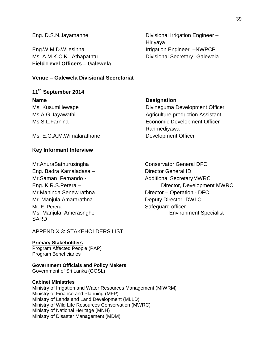**Field Level Officers – Galewela** Eng.W.M.D.Wijesinha Internation Engineer –NWPCP Ms. A.M.K.C.K. Athapathtu Divisional Secretary- Galewela

Eng. D.S.N.Jayamanne Divisional Irrigation Engineer – Hiriyaya

# **Venue – Galewela Divisional Secretariat**

# **11th September 2014**

### **Name** Designation

Ms. KusumHewage **Divineguma Development Officer** Ms.A.G.Jayawathi Ms.A.G.Jayawathi Agriculture production Assistant -Ms.S.L.Farnina Economic Development Officer - Ranmediyawa

Ms. E.G.A.M.Wimalarathane Development Officer

### **Key Informant Interview**

Mr.AnuraSathurusingha Conservator General DFC Eng. Badra Kamaladasa – Director General ID Mr.Saman Fernando - Additional SecretaryMWRC Mr.Mahinda Senewirathna Director – Operation - DFC Mr. Manjula Amararathna Deputy Director- DWLC Mr. E. Perera Safeguard officer SARD

<span id="page-42-0"></span>APPENDIX 3: STAKEHOLDERS LIST

# **Primary Stakeholders**

Program Affected People (PAP) Program Beneficiaries

# **Government Officials and Policy Makers**

Government of Sri Lanka (GOSL)

### **Cabinet Ministries**

Ministry of Irrigation and Water Resources Management (MIWRM) Ministry of Finance and Planning (MFP) Ministry of Lands and Land Development (MLLD) Ministry of Wild Life Resources Conservation (MWRC) Ministry of National Heritage (MNH) Ministry of Disaster Management (MDM)

Eng. K.R.S. Perera – The Contractor of Director, Development MWRC Ms. Manjula Amerasnghe Environment Specialist –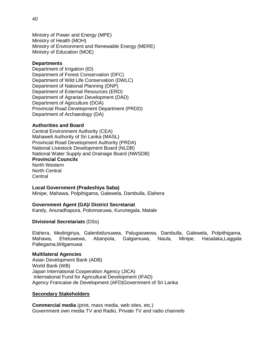Ministry of Power and Energy (MPE) Ministry of Health (MOH) Ministry of Environment and Renewable Energy (MERE) Ministry of Education (MOE)

### **Departments**

Department of Irrigation (ID) Department of Forest Conservation (DFC) Department of Wild Life Conservation (DWLC) Department of National Planning (DNP) Department of External Resources (ERD) Department of Agrarian Development (DAD) Department of Agriculture (DOA) Provincial Road Development Department (PRDD) Department of Archaeology (DA)

### **Authorities and Board**

Central Environment Authority (CEA) Mahaweli Authority of Sri Lanka (MASL) Provincial Road Development Authority (PRDA) National Livestock Development Board (NLDB) National Water Supply and Drainage Board (NWSDB) **Provincial Councils**  North Western North Central **Central** 

### **Local Government (Pradeshiya Saba)**

Minipe, Mahawa, Polpihigama, Galewela, Dambulla, Elahera

### **Government Agent (GA)/ District Secretariat**

Kandy, Anuradhapura, Polonnaruwa, Kurunegala, Matale

### **Divisional Secretariats** (DSs)

Elahera, Medirigiriya, Galenbidunuwea, Palugaswewa, Dambulla, Galewela, Polpithigama, Mahawa, Ehetuwewa, Abanpola, Galgamuwa, Naula, Minipe, Hasalaka,Laggala Pallegama,Wilgamuwa

### **Multilateral Agencies**

Asian Development Bank (ADB) World Bank (WB) Japan International Cooperation Agency (JICA) International Fund for Agricultural Development (IFAD) Agency Francaise de Development (AFD)Government of Sri Lanka

### **Secondary Stakeholders**

**Commercial media** (print, mass media, web sites, etc.) Government own media TV and Radio, Private TV and radio channels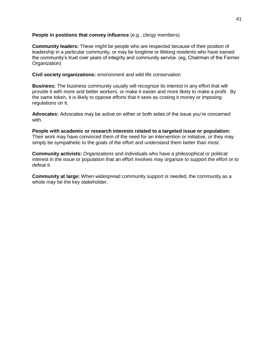### **People in positions that convey influence** (e.g., clergy members)

**Community leaders:** These might be people who are respected because of their position of leadership in a particular community, or may be longtime or lifelong residents who have earned the community's trust over years of integrity and community service. (eg, Chairman of the Farmer Organization)

**Civil society organizations:** environment and wild life conservation

**Business:** The business community usually will recognize its interest in any effort that will provide it with more and better workers, or make it easier and more likely to make a profit. By the same token, it is likely to oppose efforts that it sees as costing it money or imposing regulations on it.

**Advocates:** Advocates may be active on either or both sides of the issue you're concerned with.

**People with academic or research interests related to a targeted issue or population:**  Their work may have convinced them of the need for an intervention or initiative, or they may simply be sympathetic to the goals of the effort and understand them better than most.

**Community activists:** Organizations and individuals who have a philosophical or political interest in the issue or population that an effort involves may organize to support the effort or to defeat it.

**Community at large:** When widespread community support is needed, the community as a whole may be the key stakeholder.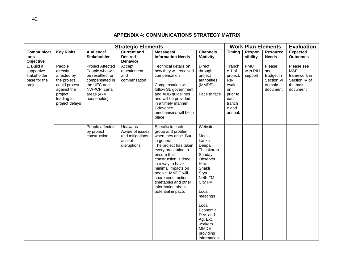# **APPENDIX 4: COMMUNICATIONS STRATEGY MATRIX**

<span id="page-45-0"></span>

|                                                                    |                                                                                                                             |                                                                                                                                            | <b>Strategic Elements</b>                                               |                                                                                                                                                                                                                                                                                                                           |                                                                                                                                                                                                                                                       |                                                                                                        | <b>Work Plan Elements</b>         |                                                                 | <b>Evaluation</b>                                                          |
|--------------------------------------------------------------------|-----------------------------------------------------------------------------------------------------------------------------|--------------------------------------------------------------------------------------------------------------------------------------------|-------------------------------------------------------------------------|---------------------------------------------------------------------------------------------------------------------------------------------------------------------------------------------------------------------------------------------------------------------------------------------------------------------------|-------------------------------------------------------------------------------------------------------------------------------------------------------------------------------------------------------------------------------------------------------|--------------------------------------------------------------------------------------------------------|-----------------------------------|-----------------------------------------------------------------|----------------------------------------------------------------------------|
| Communicat<br>ions<br>Objective                                    | <b>Key Risks</b>                                                                                                            | Audience/<br><b>Stakeholder</b>                                                                                                            | <b>Current and</b><br><b>Desired</b><br><b>Behavior</b>                 | Messages/<br><b>Information Needs</b>                                                                                                                                                                                                                                                                                     | <b>Channels</b><br>/Activity                                                                                                                                                                                                                          | <b>Timing</b>                                                                                          | Respon<br>sibility                | <b>Resource</b><br><b>Needs</b>                                 | <b>Expected</b><br><b>Outcomes</b>                                         |
| 1. Build a<br>supportive<br>stakeholder<br>base for the<br>project | People<br>directly<br>affected by<br>the project<br>could protest<br>against the<br>project<br>leading to<br>project delays | <b>Project Affected</b><br>People who will<br>be resettled or<br>compensated in<br>the UEC and<br>NWPCP canal<br>areas (474<br>households) | Accept<br>resettlement<br>and<br>compensation                           | Technical details on<br>how they will received<br>compensation<br>Compensation will<br>follow SL government<br>and ADB guidelines<br>and will be provided<br>in a timely manner.<br>Grievance<br>mechanisms will be in<br>place                                                                                           | <b>Direct</b><br>through<br>project<br>authorities<br>(MMDE)<br>Face to face                                                                                                                                                                          | Tranch<br>e 1 of<br>project.<br>Re-<br>evaluti<br>on<br>prior to<br>each<br>tranch<br>e and<br>annual. | <b>PMU</b><br>with PIU<br>support | Please<br>see<br>Budget in<br>Section VI<br>of main<br>document | Please see<br>M&E<br>framework in<br>Section IV of<br>the main<br>document |
|                                                                    |                                                                                                                             | People affected<br>by project<br>construction                                                                                              | Unaware/<br>Aware of issues<br>and mitigations<br>accept<br>disruptions | Specific to each<br>group and problem<br>when they arise. But<br>in general<br>The project has taken<br>every precaution to<br>ensure that<br>construction is done<br>in a way to have<br>minimal impacts on<br>people. MMDE will<br>share construction<br>timetables and other<br>information about<br>potential impacts | Website<br><b>Media</b><br>Lanka<br>Deepa<br>Thinakaran<br>Sunday<br>Observer<br>Hiru<br>Shakti<br>Srya<br>Neth FM<br>City FM<br>Local<br>meetings<br>Local<br>Economic<br>Dev. and<br>Ag. Ext.<br>workers<br><b>MMDE</b><br>providing<br>information |                                                                                                        |                                   |                                                                 |                                                                            |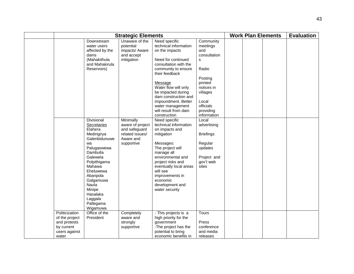| <b>Strategic Elements</b>                                                                |                                                                                                                                                                                                                                                      |                                                                                              |                                                                                                                                                                                                                                                                                                                      |                                                                                                                                                              |  | <b>Work Plan Elements</b> | <b>Evaluation</b> |
|------------------------------------------------------------------------------------------|------------------------------------------------------------------------------------------------------------------------------------------------------------------------------------------------------------------------------------------------------|----------------------------------------------------------------------------------------------|----------------------------------------------------------------------------------------------------------------------------------------------------------------------------------------------------------------------------------------------------------------------------------------------------------------------|--------------------------------------------------------------------------------------------------------------------------------------------------------------|--|---------------------------|-------------------|
|                                                                                          | Downstream<br>water users<br>affected by the<br>dams<br>(Mahakithula<br>and Mahakirula<br>Reservoirs)                                                                                                                                                | Unaware of the<br>potential<br>impacts/ Aware<br>and accept<br>mitigation                    | Need specific<br>technical information<br>on the impacts<br>Need for continued<br>consultation with the<br>community to ensure<br>their feedback<br>Message<br>Water flow will only<br>be impacted during<br>dam construction and<br>impoundment. Better<br>water management<br>will result from dam<br>construction | Community<br>meetings<br>and<br>consultation<br>s<br>Radio<br>Posting<br>printed<br>notices in<br>villages<br>Local<br>officials<br>providing<br>information |  |                           |                   |
|                                                                                          | Divisional<br>Secretaries<br>Elahera<br>Medirigirya<br>Galenbidunuwe<br>wa<br>Palugaswewa<br>Dambulla<br>Galewela<br>Polpithigama<br>Mahawa<br>Eheluwewa<br>Abanpola<br>Galgamuwa<br>Naula<br>Minipe<br>Hasalaka<br>Laggala<br>Pallegama<br>Wigamuwa | Minimally<br>aware of project<br>and safeguard<br>related issues/<br>Aware and<br>supportive | Need specific<br>technical information<br>on impacts and<br>mitigation<br>Messages:<br>The project will<br>manage all<br>environmental and<br>project risks and<br>eventually local areas<br>will see<br>improvements in<br>economic<br>development and<br>water security                                            | Local<br>advertising<br><b>Briefings</b><br>Regular<br>updates<br>Project and<br>gov't web<br>sites                                                          |  |                           |                   |
| Politicization<br>of the project<br>and protests<br>by current<br>users against<br>water | Office of the<br>President                                                                                                                                                                                                                           | Completely<br>aware and<br>strongly<br>supportive                                            | - This projects is a<br>high priority for the<br>government<br>-The project has the<br>potential to bring<br>economic benefits in                                                                                                                                                                                    | <b>Tours</b><br>Press<br>conference<br>and media<br>releases                                                                                                 |  |                           |                   |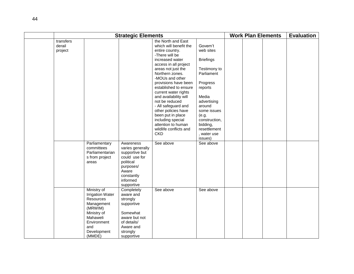| <b>Strategic Elements</b>      |                                                                                                                                                                                                                           |                                                                                                                                                                                                                                                                       |                                                                                                                                                                                                                                                                                                                                                                                                                                                                     |                                                                                                                                                                                                                      |  | <b>Work Plan Elements</b> | <b>Evaluation</b> |  |
|--------------------------------|---------------------------------------------------------------------------------------------------------------------------------------------------------------------------------------------------------------------------|-----------------------------------------------------------------------------------------------------------------------------------------------------------------------------------------------------------------------------------------------------------------------|---------------------------------------------------------------------------------------------------------------------------------------------------------------------------------------------------------------------------------------------------------------------------------------------------------------------------------------------------------------------------------------------------------------------------------------------------------------------|----------------------------------------------------------------------------------------------------------------------------------------------------------------------------------------------------------------------|--|---------------------------|-------------------|--|
| transfers<br>derail<br>project |                                                                                                                                                                                                                           |                                                                                                                                                                                                                                                                       | the North and East<br>which will benefit the<br>entire country.<br>-There will be<br>increased water<br>access in all project<br>areas not just the<br>Northern zones.<br>-MOUs and other<br>provisions have been<br>established to ensure<br>current water rights<br>and availability will<br>not be reduced<br>- All safeguard and<br>other policies have<br>been put in place<br>including special<br>attention to human<br>wildlife conflicts and<br><b>CKD</b> | Govern't<br>web sites<br><b>Briefings</b><br>Testimony to<br>Parliament<br>Progress<br>reports<br>Media<br>advertising<br>around<br>some issues<br>(e.g.<br>construction,<br>bidding,<br>resettlement<br>, water use |  |                           |                   |  |
|                                | Parliamentary<br>committees<br>Parliamentarian<br>s from project<br>areas<br>Ministry of<br><b>Irrigation Water</b><br>Resources<br>Management<br>(MRWIM)<br>Ministry of<br>Mahaweli<br>Environment<br>and<br>Development | Awareness<br>varies generally<br>supportive but<br>could use for<br>political<br>purposes/<br>Aware<br>constantly<br>informed<br>supportive<br>Completely<br>aware and<br>strongly<br>supportive<br>Somewhat<br>aware but not<br>of details/<br>Aware and<br>strongly | See above<br>See above                                                                                                                                                                                                                                                                                                                                                                                                                                              | issues)<br>See above<br>See above                                                                                                                                                                                    |  |                           |                   |  |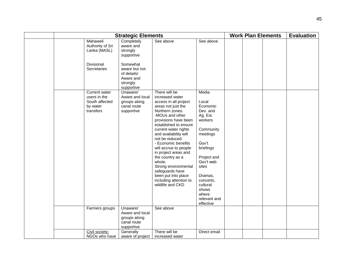|                                                                          | <b>Strategic Elements</b>                                                       |                                                                                                                                                                                                                                                                                                                                                                                                                                                                  |                                                                                                                                                                                                                                      |  |  |  | <b>Evaluation</b> |
|--------------------------------------------------------------------------|---------------------------------------------------------------------------------|------------------------------------------------------------------------------------------------------------------------------------------------------------------------------------------------------------------------------------------------------------------------------------------------------------------------------------------------------------------------------------------------------------------------------------------------------------------|--------------------------------------------------------------------------------------------------------------------------------------------------------------------------------------------------------------------------------------|--|--|--|-------------------|
| Mahaweli<br>Authority of Sri<br>Lanka (MASL)                             | Completely<br>aware and<br>strongly<br>supportive                               | See above                                                                                                                                                                                                                                                                                                                                                                                                                                                        | See above                                                                                                                                                                                                                            |  |  |  |                   |
| Divisional<br>Secretaries                                                | Somewhat<br>aware but not<br>of details/<br>Aware and<br>strongly<br>supportive |                                                                                                                                                                                                                                                                                                                                                                                                                                                                  |                                                                                                                                                                                                                                      |  |  |  |                   |
| Current water<br>users in the<br>South affected<br>by water<br>transfers | Unaware/<br>Aware and local<br>groups along<br>canal route<br>supportive        | There will be<br>increased water<br>access in all project<br>areas not just the<br>Northern zones.<br>-MOUs and other<br>provisions have been<br>established to ensure<br>current water rights<br>and availability will<br>not be reduced.<br>- Economic benefits<br>will accrue to people<br>in project areas and<br>the country as a<br>whole.<br>Strong environmental<br>safeguards have<br>been put into place<br>including attention to<br>wildlife and CKD | Media<br>Local<br>Economic<br>Dev. and<br>Ag. Ext.<br>workers<br>Community<br>meetings<br>Gov't<br>briefings<br>Project and<br>Gov't web<br>sites<br>Dramas,<br>concerts,<br>cultural<br>shows<br>where<br>relevant and<br>effective |  |  |  |                   |
| Farmers groups                                                           | Unaware/<br>Aware and local<br>groups along<br>canal route<br>supportive        | See above                                                                                                                                                                                                                                                                                                                                                                                                                                                        |                                                                                                                                                                                                                                      |  |  |  |                   |
| Civil society:<br>NGOs who have                                          | Generally<br>aware of project                                                   | There will be<br>increased water                                                                                                                                                                                                                                                                                                                                                                                                                                 | Direct email                                                                                                                                                                                                                         |  |  |  |                   |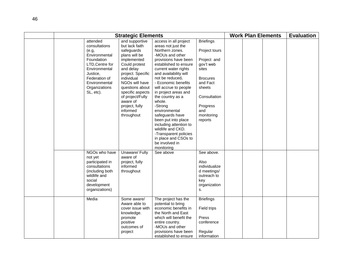|                                                                                            | <b>Strategic Elements</b>                                                                                                                                                                                                                                                                                                                                                   |                                                                                                                                                                                                                                                                                                                                                                                                                                                                                                                    |                                                                                                                                                                             | <b>Work Plan Elements</b> | <b>Evaluation</b> |
|--------------------------------------------------------------------------------------------|-----------------------------------------------------------------------------------------------------------------------------------------------------------------------------------------------------------------------------------------------------------------------------------------------------------------------------------------------------------------------------|--------------------------------------------------------------------------------------------------------------------------------------------------------------------------------------------------------------------------------------------------------------------------------------------------------------------------------------------------------------------------------------------------------------------------------------------------------------------------------------------------------------------|-----------------------------------------------------------------------------------------------------------------------------------------------------------------------------|---------------------------|-------------------|
| attended<br>consultations<br>(e.g,<br>Foundation<br>Justice.<br>Federation of<br>SL, etc). | and supportive<br>but lack faith<br>safeguards<br>Environmental<br>plans will be<br>implemented<br>Could protest<br>LTD, Centre for<br>Environmental<br>and delay<br>project. Specific<br>individual<br>NGOs will have<br>Environmental<br>Organizations<br>questions about<br>specific aspects<br>of project/Fully<br>aware of<br>project, fully<br>informed<br>throughout | access in all project<br>areas not just the<br>Northern zones.<br>-MOUs and other<br>provisions have been<br>established to ensure<br>current water rights<br>and availability will<br>not be reduced.<br>- Economic benefits<br>will accrue to people<br>in project areas and<br>the country as a<br>whole.<br>-Strong<br>environmental<br>safeguards have<br>been put into place<br>including attention to<br>wildlife and CKD.<br>-Transparent policies<br>in place and CSOs to<br>be involved in<br>monitoring | <b>Briefings</b><br>Project tours<br>Project and<br>gov't web<br>sites<br><b>Brocures</b><br>and Fact<br>sheets<br>Consultation<br>Progress<br>and<br>monitoring<br>reports |                           |                   |
| not yet<br>consultations<br>wildlife and<br>social<br>development                          | Unaware/ Fully<br>NGOs who have<br>aware of<br>participated in<br>project, fully<br>informed<br>(including both<br>throughout<br>organizations)                                                                                                                                                                                                                             | See above                                                                                                                                                                                                                                                                                                                                                                                                                                                                                                          | See above.<br>Also<br>individualize<br>d meetings/<br>outreach to<br>key<br>organization<br>s.                                                                              |                           |                   |
| Media                                                                                      | Some aware/<br>Aware able to<br>cover issue with<br>knowledge.<br>promote<br>positive<br>outcomes of<br>project                                                                                                                                                                                                                                                             | The project has the<br>potential to bring<br>economic benefits in<br>the North and East<br>which will benefit the<br>entire country.<br>-MOUs and other<br>provisions have been<br>established to ensure                                                                                                                                                                                                                                                                                                           | <b>Briefings</b><br>Field trips<br>Press<br>conference<br>Regular<br>information                                                                                            |                           |                   |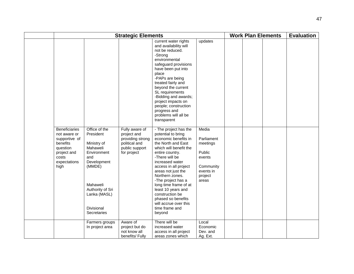| <b>Strategic Elements</b>                                                                                                     |                                                                                                                                                                                   |                                                                                                     |                                                                                                                                                                                                                                                                                                                                                                                                                  |                                                                                                   |  | <b>Work Plan Elements</b> | <b>Evaluation</b> |
|-------------------------------------------------------------------------------------------------------------------------------|-----------------------------------------------------------------------------------------------------------------------------------------------------------------------------------|-----------------------------------------------------------------------------------------------------|------------------------------------------------------------------------------------------------------------------------------------------------------------------------------------------------------------------------------------------------------------------------------------------------------------------------------------------------------------------------------------------------------------------|---------------------------------------------------------------------------------------------------|--|---------------------------|-------------------|
|                                                                                                                               |                                                                                                                                                                                   |                                                                                                     | current water rights<br>and availability will<br>not be reduced.<br>-Strong<br>environmental<br>safeguard provisions<br>have been put into<br>place<br>-PAPs are being<br>treated fairly and<br>beyond the current<br>SL requirements<br>-Bidding and awards;<br>project impacts on<br>people; construction<br>progress and<br>problems will all be<br>transparent                                               | updates                                                                                           |  |                           |                   |
| <b>Beneficiaries</b><br>not aware or<br>supportive of<br>benefits<br>question<br>project and<br>costs<br>expectations<br>high | Office of the<br>President<br>Ministry of<br>Mahaweli<br>Environment<br>and<br>Development<br>(MMDE)<br>Mahaweli<br>Authority of Sri<br>Lanka (MASL)<br>Divisional<br>Secretaries | Fully aware of<br>project and<br>providing strong<br>political and<br>public support<br>for project | - The project has the<br>potential to bring<br>economic benefits in<br>the North and East<br>which will benefit the<br>entire country.<br>-There will be<br>increased water<br>access in all project<br>areas not just the<br>Northern zones.<br>-The project has a<br>long time frame of at<br>least 10 years and<br>construction be<br>phased so benefits<br>will accrue over this<br>time frame and<br>beyond | Media<br>Parliament<br>meetings<br>Public<br>events<br>Community<br>events in<br>project<br>areas |  |                           |                   |
|                                                                                                                               | Farmers groups<br>In project area                                                                                                                                                 | Aware of<br>project but do<br>not know all<br>benefits/ Fully                                       | There will be<br>increased water<br>access in all project<br>areas zones which                                                                                                                                                                                                                                                                                                                                   | Local<br>Economic<br>Dev. and<br>Ag. Ext.                                                         |  |                           |                   |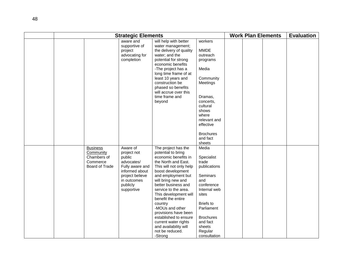|  |                                                                                  | <b>Work Plan Elements</b>                                                                                                                        |                                                                                                                                                                                                                                                                                                                                                                                                                                                  |                                                                                                                                                                                                               | <b>Evaluation</b> |  |  |  |
|--|----------------------------------------------------------------------------------|--------------------------------------------------------------------------------------------------------------------------------------------------|--------------------------------------------------------------------------------------------------------------------------------------------------------------------------------------------------------------------------------------------------------------------------------------------------------------------------------------------------------------------------------------------------------------------------------------------------|---------------------------------------------------------------------------------------------------------------------------------------------------------------------------------------------------------------|-------------------|--|--|--|
|  |                                                                                  | <b>Strategic Elements</b><br>aware and<br>supportive of<br>project<br>advocating for<br>completion                                               | will help with better<br>water management;<br>the delivery of quality<br>water; and the<br>potential for strong<br>economic benefits<br>-The project has a<br>long time frame of at<br>least 10 years and<br>construction be<br>phased so benefits<br>will accrue over this<br>time frame and<br>beyond                                                                                                                                          | workers<br><b>MMDE</b><br>outreach<br>programs<br>Media<br>Community<br>Meetings<br>Dramas,<br>concerts,<br>cultural<br>shows<br>where<br>relevant and<br>effective<br><b>Brochures</b><br>and fact<br>sheets |                   |  |  |  |
|  | <b>Business</b><br>Community<br>Chambers of<br>Commerce<br><b>Board of Trade</b> | Aware of<br>project not<br>public<br>advocates/<br>Fully aware and<br>informed about<br>project believe<br>in outcomes<br>publicly<br>supportive | The project has the<br>potential to bring<br>economic benefits in<br>the North and East.<br>This will not only help<br>boost development<br>and employment but<br>will bring new and<br>better business and<br>service to the area.<br>This development will<br>benefit the entire<br>country<br>-MOUs and other<br>provisions have been<br>established to ensure<br>current water rights<br>and availability will<br>not be reduced.<br>-Strong | Media<br>Specialist<br>trade<br>publications<br>Seminars<br>and<br>conference<br>Internal web<br>sites<br><b>Briefs to</b><br>Parliament<br><b>Brochures</b><br>and fact<br>sheets<br>Regular<br>consultation |                   |  |  |  |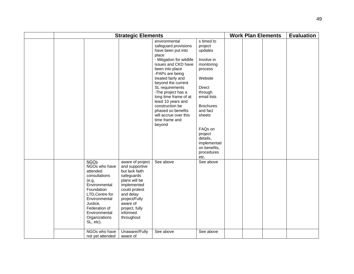|  | <b>Strategic Elements</b>                                                                                                                                                                                                          |                                                                                                                                                                                                                             |                                                                                                                                                                                                                                                                                                                                                                                                  |                                                                                                                                                                                                                                                                 |  |  | <b>Work Plan Elements</b> | <b>Evaluation</b> |
|--|------------------------------------------------------------------------------------------------------------------------------------------------------------------------------------------------------------------------------------|-----------------------------------------------------------------------------------------------------------------------------------------------------------------------------------------------------------------------------|--------------------------------------------------------------------------------------------------------------------------------------------------------------------------------------------------------------------------------------------------------------------------------------------------------------------------------------------------------------------------------------------------|-----------------------------------------------------------------------------------------------------------------------------------------------------------------------------------------------------------------------------------------------------------------|--|--|---------------------------|-------------------|
|  |                                                                                                                                                                                                                                    |                                                                                                                                                                                                                             | environmental<br>safeguard provisions<br>have been put into<br>place<br>- Mitigation for wildlife<br>issues and CKD have<br>been into place<br>-PAPs are being<br>treated fairly and<br>beyond the current<br>SL requirements<br>-The project has a<br>long time frame of at<br>least 10 years and<br>construction be<br>phased so benefits<br>will accrue over this<br>time frame and<br>beyond | s timed to<br>project<br>updates<br>Involve in<br>monitoring<br>process<br>Website<br><b>Direct</b><br>through<br>email lists<br><b>Brochures</b><br>and fact<br>sheets<br>FAQs on<br>project<br>details,<br>implementati<br>on benefits,<br>procedures<br>etc. |  |  |                           |                   |
|  | <b>NGOs</b><br>NGOs who have<br>attended<br>consultations<br>(e.g,<br>Environmental<br>Foundation<br>LTD, Centre for<br>Environmental<br>Justice,<br>Federation of<br>Environmental<br>Organizations<br>SL, etc).<br>NGOs who have | aware of project<br>and supportive<br>but lack faith<br>safeguards<br>plans will be<br>implemented<br>could protest<br>and delay<br>project/Fully<br>aware of<br>project, fully<br>informed<br>throughout<br>Unaware//Fully | See above<br>See above                                                                                                                                                                                                                                                                                                                                                                           | See above<br>See above                                                                                                                                                                                                                                          |  |  |                           |                   |
|  | not yet attended                                                                                                                                                                                                                   | aware of                                                                                                                                                                                                                    |                                                                                                                                                                                                                                                                                                                                                                                                  |                                                                                                                                                                                                                                                                 |  |  |                           |                   |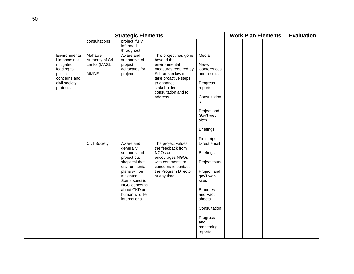|                                                                                                                    |                                                            | <b>Strategic Elements</b>                                                                                                                                                                                    |                                                                                                                                                                                          | <b>Work Plan Elements</b>                                                                                                                                                                   |  |  | <b>Evaluation</b> |  |
|--------------------------------------------------------------------------------------------------------------------|------------------------------------------------------------|--------------------------------------------------------------------------------------------------------------------------------------------------------------------------------------------------------------|------------------------------------------------------------------------------------------------------------------------------------------------------------------------------------------|---------------------------------------------------------------------------------------------------------------------------------------------------------------------------------------------|--|--|-------------------|--|
|                                                                                                                    | consultations                                              | project, fully<br>informed<br>throughout                                                                                                                                                                     |                                                                                                                                                                                          |                                                                                                                                                                                             |  |  |                   |  |
| Environmenta<br>I impacts not<br>mitigated<br>leading to<br>political<br>concerns and<br>civil society<br>protests | Mahaweli<br>Authority of Sri<br>Lanka (MASL<br><b>MMDE</b> | Aware and<br>supportive of<br>project<br>advocates for<br>project                                                                                                                                            | This project has gone<br>beyond the<br>environmental<br>measures required by<br>Sri Lankan law to<br>take proactive steps<br>to enhance<br>stakeholder<br>consultation and to<br>address | Media<br><b>News</b><br>Conferences<br>and results<br>Progress<br>reports<br>Consultation<br>s<br>Project and<br>Gov't web<br>sites<br><b>Briefings</b><br>Field trips                      |  |  |                   |  |
|                                                                                                                    | <b>Civil Society</b>                                       | Aware and<br>generally<br>supportive of<br>project but<br>skeptical that<br>environmental<br>plans will be<br>mitigated.<br>Some specific<br>NGO concerns<br>about CKD and<br>human wildlife<br>interactions | The project values<br>the feedback from<br>NGOs and<br>encourages NGOs<br>with comments or<br>concerns to contact<br>the Program Director<br>at any time                                 | Direct email<br><b>Briefings</b><br>Project tours<br>Project and<br>gov't web<br>sites<br><b>Brocures</b><br>and Fact<br>sheets<br>Consultation<br>Progress<br>and<br>monitoring<br>reports |  |  |                   |  |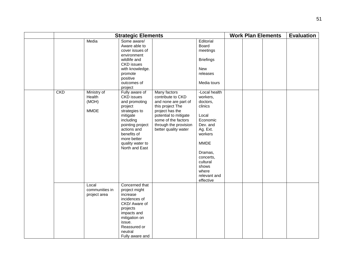|            |                                               | <b>Strategic Elements</b>                                                                                                                                                                                                   |                                                                                                                                                                                                   |                                                                                                                                                                                                            |  | <b>Work Plan Elements</b> | <b>Evaluation</b> |
|------------|-----------------------------------------------|-----------------------------------------------------------------------------------------------------------------------------------------------------------------------------------------------------------------------------|---------------------------------------------------------------------------------------------------------------------------------------------------------------------------------------------------|------------------------------------------------------------------------------------------------------------------------------------------------------------------------------------------------------------|--|---------------------------|-------------------|
|            | Media                                         | Some aware/<br>Aware able to<br>cover issues of<br>environment<br>wildlife and<br><b>CKD</b> issues<br>with knowledge.<br>promote<br>positive<br>outcomes of                                                                |                                                                                                                                                                                                   | Editorial<br>Board<br>meetings<br><b>Briefings</b><br><b>New</b><br>releases<br>Media tours                                                                                                                |  |                           |                   |
| <b>CKD</b> | Ministry of<br>Health<br>(MOH)<br><b>MMDE</b> | project<br>Fully aware of<br><b>CKD</b> issues<br>and promoting<br>project<br>strategies to<br>mitigate<br>including<br>pointing project<br>actions and<br>benefits of<br>more better<br>quality water to<br>North and East | Many factors<br>contribute to CKD<br>and none are part of<br>this project The<br>project has the<br>potential to mitigate<br>some of the factors<br>through the provision<br>better quality water | -Local health<br>workers,<br>doctors,<br>clinics<br>Local<br>Economic<br>Dev. and<br>Ag. Ext.<br>workers<br><b>MMDE</b><br>Dramas,<br>concerts,<br>cultural<br>shows<br>where<br>relevant and<br>effective |  |                           |                   |
|            | Local<br>communities in<br>project area       | Concerned that<br>project might<br>increase<br>incidences of<br>CKD/ Aware of<br>projects<br>impacts and<br>mitigation on<br>issue.<br>Reassured or<br>neutral<br>Fully aware and                                           |                                                                                                                                                                                                   |                                                                                                                                                                                                            |  |                           |                   |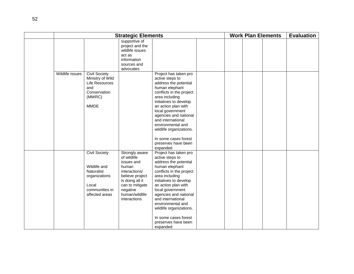|                 |                                                                                                                  | <b>Strategic Elements</b>                                                                                                                                                    |                                                                                                                                                                                                                                                                                                                                                                 |  |  | <b>Work Plan Elements</b> | <b>Evaluation</b> |
|-----------------|------------------------------------------------------------------------------------------------------------------|------------------------------------------------------------------------------------------------------------------------------------------------------------------------------|-----------------------------------------------------------------------------------------------------------------------------------------------------------------------------------------------------------------------------------------------------------------------------------------------------------------------------------------------------------------|--|--|---------------------------|-------------------|
|                 |                                                                                                                  | supportive of<br>project and the<br>wildlife issues<br>act as<br>information<br>sources and<br>advocates                                                                     |                                                                                                                                                                                                                                                                                                                                                                 |  |  |                           |                   |
| Wildlife issues | <b>Civil Society</b><br>Ministry of Wild<br>Life Resources<br>and<br>Conservation<br>(MWRC)<br><b>MMDE</b>       |                                                                                                                                                                              | Project has taken pro<br>active steps to<br>address the potential<br>human elephant<br>conflicts in the project<br>area including<br>initiatives to develop<br>an action plan with<br>local government<br>agencies and national<br>and international<br>environmental and<br>wildlife organizations.<br>In some cases forest<br>preserves have been<br>expanded |  |  |                           |                   |
|                 | <b>Civil Society</b><br>Wildlife and<br>Naturalist<br>organizations<br>Local<br>communities in<br>affected areas | Strongly aware<br>of wildlife<br>issues and<br>human<br>interactions/<br>believe project<br>is doing all it<br>can to mitigate<br>negative<br>human/wildlife<br>interactions | Project has taken pro<br>active steps to<br>address the potential<br>human elephant<br>conflicts in the project<br>area including<br>initiatives to develop<br>an action plan with<br>local government<br>agencies and national<br>and international<br>environmental and<br>wildlife organizations.<br>In some cases forest<br>preserves have been<br>expanded |  |  |                           |                   |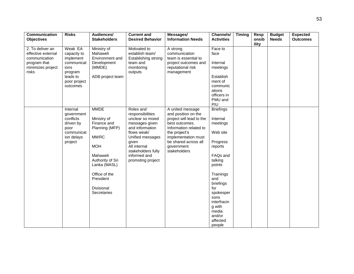| Communication<br><b>Objectives</b>                                                           | <b>Risks</b>                                              | Audiences/<br><b>Stakeholders</b>                                   | <b>Current and</b><br><b>Desired Behavior</b>                                    | Messages/<br><b>Information Needs</b>                                                          | Channels/<br><b>Activities</b>          | <b>Timing</b> | <b>Resp</b><br>onsib | <b>Budget</b><br><b>Needs</b> | <b>Expected</b><br><b>Outcomes</b> |
|----------------------------------------------------------------------------------------------|-----------------------------------------------------------|---------------------------------------------------------------------|----------------------------------------------------------------------------------|------------------------------------------------------------------------------------------------|-----------------------------------------|---------------|----------------------|-------------------------------|------------------------------------|
|                                                                                              |                                                           |                                                                     |                                                                                  |                                                                                                |                                         |               | ility                |                               |                                    |
| 2. To deliver an<br>effective external<br>communication<br>program that<br>minimizes project | Weak EA<br>capacity to<br>implement<br>communicat<br>ions | Ministry of<br>Mahaweli<br>Environment and<br>Development<br>(MMDE) | Motivated to<br>establish team/<br>Establishing strong<br>team and<br>monitoring | A strong<br>communication<br>team is essential to<br>project outcomes and<br>reputational risk | Face to<br>face<br>Internal<br>meetings |               |                      |                               |                                    |
| risks                                                                                        | program                                                   |                                                                     | outputs                                                                          | management                                                                                     |                                         |               |                      |                               |                                    |
|                                                                                              | leads to<br>poor project<br>outcomes                      | ADB project team                                                    |                                                                                  |                                                                                                | Establish<br>ment of<br>communic        |               |                      |                               |                                    |
|                                                                                              |                                                           |                                                                     |                                                                                  |                                                                                                | ations<br>officers in                   |               |                      |                               |                                    |
|                                                                                              |                                                           |                                                                     |                                                                                  |                                                                                                | PMU and<br>PIU                          |               |                      |                               |                                    |
|                                                                                              | Internal<br>government                                    | <b>MMDE</b>                                                         | Roles and<br>responsibilities                                                    | A united message<br>and position on the                                                        | <b>Briefings</b>                        |               |                      |                               |                                    |
|                                                                                              | conflicts<br>driven by                                    | Ministry of<br>Finance and                                          | unclear so mixed<br>messages given                                               | project will lead to the<br>best outcomes.                                                     | Internal<br>meetings                    |               |                      |                               |                                    |
|                                                                                              | poor<br>communicat<br>ion delays                          | Planning (MFP)<br><b>MWRC</b>                                       | and information<br>flows weak/<br>Unified messages                               | Information related to<br>the project's<br>implementation must                                 | Web site                                |               |                      |                               |                                    |
|                                                                                              | project                                                   | <b>MOH</b>                                                          | given<br>All internal                                                            | be shared across all<br>government                                                             | Progress<br>reports                     |               |                      |                               |                                    |
|                                                                                              |                                                           | Mahaweli                                                            | stakeholders fully<br>informed and                                               | stakeholders                                                                                   | FAQs and                                |               |                      |                               |                                    |
|                                                                                              |                                                           | Authority of Sri<br>Lanka (MASL)                                    | promoting project                                                                |                                                                                                | talking<br>points                       |               |                      |                               |                                    |
|                                                                                              |                                                           | Office of the<br>President                                          |                                                                                  |                                                                                                | Trainings<br>and<br>briefings           |               |                      |                               |                                    |
|                                                                                              |                                                           | <b>Divisional</b><br>Secretaries                                    |                                                                                  |                                                                                                | for<br>spokesper                        |               |                      |                               |                                    |
|                                                                                              |                                                           |                                                                     |                                                                                  |                                                                                                | sons<br>interfracin                     |               |                      |                               |                                    |
|                                                                                              |                                                           |                                                                     |                                                                                  |                                                                                                | g with<br>media                         |               |                      |                               |                                    |
|                                                                                              |                                                           |                                                                     |                                                                                  |                                                                                                | and/or<br>affected<br>people            |               |                      |                               |                                    |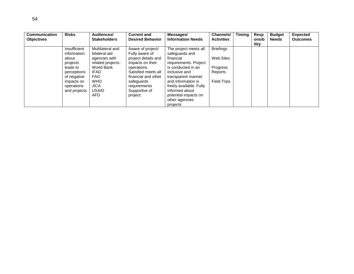| <b>Communication</b><br><b>Risks</b><br><b>Objectives</b>                                                                              | Audiences/<br><b>Stakeholders</b>                                                                                                                                 | <b>Current and</b><br><b>Desired Behavior</b>                                                                                                                                                          | Messages/<br><b>Information Needs</b>                                                                                                                                                                                                                               | Channels/<br><b>Activities</b>                                             | <b>Timing</b> | Resp<br>onsib | <b>Budget</b><br><b>Needs</b> | <b>Expected</b><br><b>Outcomes</b> |
|----------------------------------------------------------------------------------------------------------------------------------------|-------------------------------------------------------------------------------------------------------------------------------------------------------------------|--------------------------------------------------------------------------------------------------------------------------------------------------------------------------------------------------------|---------------------------------------------------------------------------------------------------------------------------------------------------------------------------------------------------------------------------------------------------------------------|----------------------------------------------------------------------------|---------------|---------------|-------------------------------|------------------------------------|
| Insufficient<br>information<br>about<br>projects<br>leads to<br>perceptions<br>of negative<br>impacts on<br>operations<br>and projects | Multilateral and<br>bilateral aid<br>agencies with<br>related projects :<br>World Bank<br><b>IFAD</b><br>FAO.<br><b>WHO</b><br><b>JICA</b><br><b>USAID</b><br>AFD | Aware of project/<br>Fully aware of<br>project details and<br>impacts on their<br>operations.<br>Satisfied meets all<br>financial and other<br>safeguards<br>requirements<br>Supportive of<br>project. | The project meets all<br>safeguards and<br>financial<br>requirements. Project<br>is conducted in an<br>inclusive and<br>transparent manner<br>and information is<br>freely available. Fully<br>informed about<br>potential impacts on<br>other agencies<br>projects | <b>Briefings</b><br>Web Sites<br>Progress<br>Reports<br><b>Field Trips</b> |               | ility         |                               |                                    |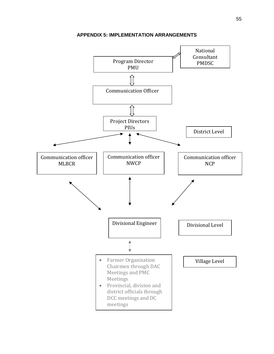<span id="page-58-0"></span>

**APPENDIX 5: IMPLEMENTATION ARRANGEMENTS**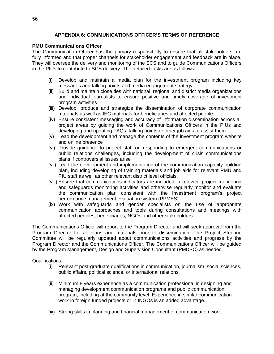# **APPENDIX 6: COMMUNICATIONS OFFICER'S TERMS OF REFERENCE**

### <span id="page-59-0"></span>**PMU Communications Officer**

The Communication Officer has the primary responsibility to ensure that all stakeholders are fully informed and that proper channels for stakeholder engagement and feedback are in place. They will oversee the delivery and monitoring of the SCS and to guide Communications Officers in the PIUs to contribute to SCS delivery. The detailed tasks are as follows:

- (i) Develop and maintain a media plan for the investment program including key messages and talking points and media engagement strategy
- (ii) Build and maintain close ties with national, regional and district media organizations and individual journalists to ensure positive and timely coverage of investment program activities
- (iii) Develop, produce and strategize the dissemination of corporate communication materials as well as IEC materials for beneficiaries and affected people
- (iv) Ensure consistent messaging and accuracy of information dissemination across all project areas by guiding the work of Communications Officers in the PIUs and developing and updating FAQs, talking points or other job aids to assist them
- (v) Lead the development and manage the contents of the investment program website and online presence
- (vi) Provide guidance to project staff on responding to emergent communications or public relations challenges, including the development of crisis communications plans if controversial issues arise
- (vii) Lead the development and implementation of the communication capacity building plan, including developing of training materials and job aids for relevant PMU and PIU staff as well as other relevant district level officials.
- (viii) Ensure that communications indicators are included in relevant project monitoring and safeguards monitoring activities and otherwise regularly monitor and evaluate the communication plan consistent with the investment program's project performance management evaluation system (PPMES)
- (ix) Work with safeguards and gender specialists on the use of appropriate communication approaches and tools during consultations and meetings with affected peoples, beneficiaries, NGOs and other stakeholders

The Communications Officer will report to the Program Director and will seek approval from the Program Director for all plans and materials prior to dissemination. The Project Steering Committee will be regularly updated about communications activities and progress by the Program Director and the Communications Officer. The Communications Officer will be guided by the Program Management, Design and Supervision Consultant (PMDSC) as needed.

### Qualifications:

- (i) Relevant post-graduate qualifications in communication, journalism, social sciences, public affairs, political science, or international relations.
- (ii) Minimum 8 years experience as a communication professional in designing and managing development communication programs and public communication program, including at the community level. Experience in similar communication work in foreign funded projects or in INGOs is an added advantage.
- (iii) Strong skills in planning and financial management of communication work.